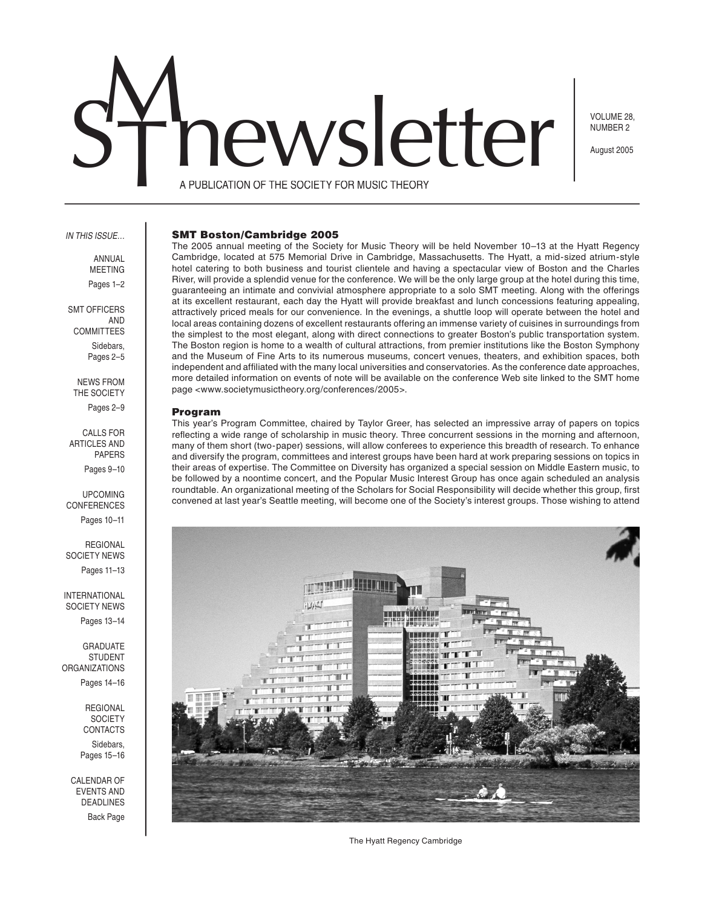# SThewsletter

VOLUME 28, NUMBER 2

August 2005

A PUBLICATION OF THE SOCIETY FOR MUSIC THEORY

#### IN THIS ISSUE…

ANNUAL MEETING Pages 1–2

SMT OFFICERS AND COMMITTEES Sidebars, Pages 2–5

NEWS FROM THE SOCIETY Pages 2–9

CALLS FOR ARTICLES AND PAPERS Pages 9–10

UPCOMING CONFERENCES Pages 10–11

REGIONAL SOCIETY NEWS Pages 11–13

INTERNATIONAL SOCIETY NEWS Pages 13-14

GRADUATE STUDENT ORGANIZATIONS Pages 14–16

> **REGIONAL SOCIETY** CONTACTS Sidebars, Pages 15–16

CALENDAR OF EVENTS AND DEADLINES Back Page

#### SMT Boston/Cambridge 2005

The 2005 annual meeting of the Society for Music Theory will be held November 10–13 at the Hyatt Regency Cambridge, located at 575 Memorial Drive in Cambridge, Massachusetts. The Hyatt, a mid-sized atrium-style hotel catering to both business and tourist clientele and having a spectacular view of Boston and the Charles River, will provide a splendid venue for the conference. We will be the only large group at the hotel during this time, guaranteeing an intimate and convivial atmosphere appropriate to a solo SMT meeting. Along with the offerings at its excellent restaurant, each day the Hyatt will provide breakfast and lunch concessions featuring appealing, attractively priced meals for our convenience. In the evenings, a shuttle loop will operate between the hotel and local areas containing dozens of excellent restaurants offering an immense variety of cuisines in surroundings from the simplest to the most elegant, along with direct connections to greater Boston's public transportation system. The Boston region is home to a wealth of cultural attractions, from premier institutions like the Boston Symphony and the Museum of Fine Arts to its numerous museums, concert venues, theaters, and exhibition spaces, both independent and affiliated with the many local universities and conservatories. As the conference date approaches, more detailed information on events of note will be available on the conference Web site linked to the SMT home page <www.societymusictheory.org/conferences/2005>.

#### Program

This year's Program Committee, chaired by Taylor Greer, has selected an impressive array of papers on topics reflecting a wide range of scholarship in music theory. Three concurrent sessions in the morning and afternoon, many of them short (two-paper) sessions, will allow conferees to experience this breadth of research. To enhance and diversify the program, committees and interest groups have been hard at work preparing sessions on topics in their areas of expertise. The Committee on Diversity has organized a special session on Middle Eastern music, to be followed by a noontime concert, and the Popular Music Interest Group has once again scheduled an analysis roundtable. An organizational meeting of the Scholars for Social Responsibility will decide whether this group, first convened at last year's Seattle meeting, will become one of the Society's interest groups. Those wishing to attend



The Hyatt Regency Cambridge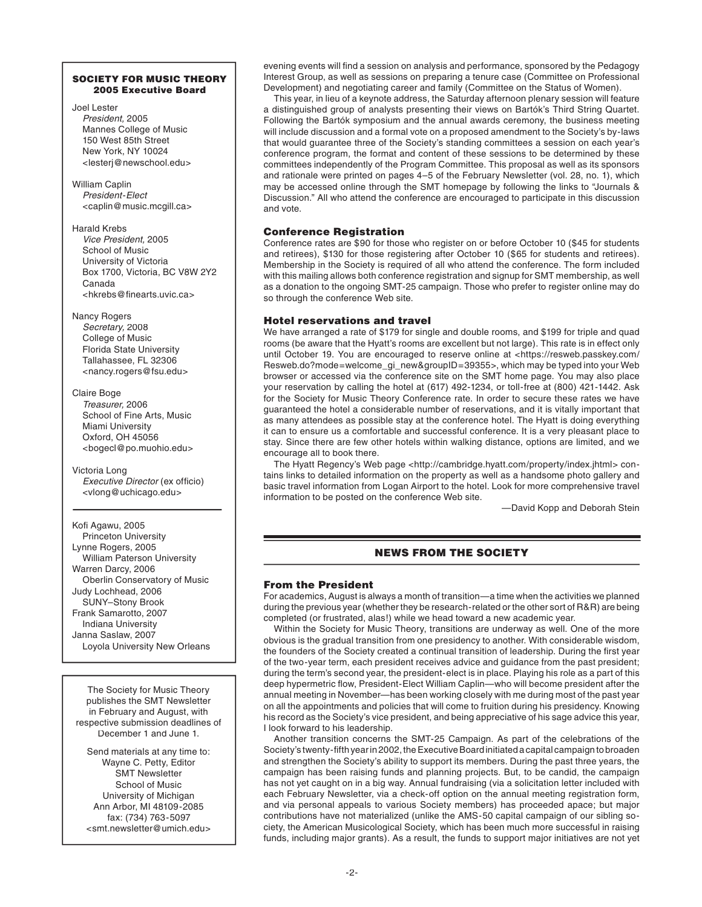# SOCIETY FOR MUSIC THEORY 2005 Executive Board

Joel Lester President, 2005 Mannes College of Music 150 West 85th Street New York, NY 10024 <lesterj@newschool.edu>

William Caplin President-Elect <caplin@music.mcgill.ca>

Harald Krebs Vice President, 2005 School of Music University of Victoria Box 1700, Victoria, BC V8W 2Y2 Canada <hkrebs@finearts.uvic.ca>

Nancy Rogers Secretary, 2008 College of Music Florida State University Tallahassee, FL 32306 <nancy.rogers@fsu.edu>

Claire Boge Treasurer, 2006 School of Fine Arts, Music Miami University Oxford, OH 45056 <bogecl@po.muohio.edu>

Victoria Long Executive Director (ex officio) <vlong@uchicago.edu>

Kofi Agawu, 2005 Princeton University Lynne Rogers, 2005 William Paterson University Warren Darcy, 2006 Oberlin Conservatory of Music Judy Lochhead, 2006 SUNY–Stony Brook Frank Samarotto, 2007 Indiana University Janna Saslaw, 2007 Loyola University New Orleans

The Society for Music Theory publishes the SMT Newsletter in February and August, with respective submission deadlines of December 1 and June 1.

Send materials at any time to: Wayne C. Petty, Editor SMT Newsletter School of Music University of Michigan Ann Arbor, MI 48109-2085 fax: (734) 763-5097 <smt.newsletter@umich.edu>

evening events will find a session on analysis and performance, sponsored by the Pedagogy Interest Group, as well as sessions on preparing a tenure case (Committee on Professional Development) and negotiating career and family (Committee on the Status of Women).

 This year, in lieu of a keynote address, the Saturday afternoon plenary session will feature a distinguished group of analysts presenting their views on Bartók's Third String Quartet. Following the Bartók symposium and the annual awards ceremony, the business meeting will include discussion and a formal vote on a proposed amendment to the Society's by-laws that would guarantee three of the Society's standing committees a session on each year's conference program, the format and content of these sessions to be determined by these committees independently of the Program Committee. This proposal as well as its sponsors and rationale were printed on pages 4–5 of the February Newsletter (vol. 28, no. 1), which may be accessed online through the SMT homepage by following the links to "Journals & Discussion." All who attend the conference are encouraged to participate in this discussion and vote.

# Conference Registration

Conference rates are \$90 for those who register on or before October 10 (\$45 for students and retirees), \$130 for those registering after October 10 (\$65 for students and retirees). Membership in the Society is required of all who attend the conference. The form included with this mailing allows both conference registration and signup for SMT membership, as well as a donation to the ongoing SMT-25 campaign. Those who prefer to register online may do so through the conference Web site.

# Hotel reservations and travel

We have arranged a rate of \$179 for single and double rooms, and \$199 for triple and quad rooms (be aware that the Hyatt's rooms are excellent but not large). This rate is in effect only until October 19. You are encouraged to reserve online at <https://resweb.passkey.com/ Resweb.do?mode=welcome\_gi\_new&groupID=39355>, which may be typed into your Web browser or accessed via the conference site on the SMT home page. You may also place your reservation by calling the hotel at (617) 492-1234, or toll-free at (800) 421-1442. Ask for the Society for Music Theory Conference rate. In order to secure these rates we have guaranteed the hotel a considerable number of reservations, and it is vitally important that as many attendees as possible stay at the conference hotel. The Hyatt is doing everything it can to ensure us a comfortable and successful conference. It is a very pleasant place to stay. Since there are few other hotels within walking distance, options are limited, and we encourage all to book there.

 The Hyatt Regency's Web page <http://cambridge.hyatt.com/property/index.jhtml> contains links to detailed information on the property as well as a handsome photo gallery and basic travel information from Logan Airport to the hotel. Look for more comprehensive travel information to be posted on the conference Web site.

—David Kopp and Deborah Stein

# NEWS FROM THE SOCIETY

# From the President

For academics, August is always a month of transition—a time when the activities we planned during the previous year (whether they be research-related or the other sort of R&R) are being completed (or frustrated, alas!) while we head toward a new academic year.

 Within the Society for Music Theory, transitions are underway as well. One of the more obvious is the gradual transition from one presidency to another. With considerable wisdom, the founders of the Society created a continual transition of leadership. During the first year of the two-year term, each president receives advice and guidance from the past president; during the term's second year, the president-elect is in place. Playing his role as a part of this deep hypermetric flow, President-Elect William Caplin—who will become president after the annual meeting in November—has been working closely with me during most of the past year on all the appointments and policies that will come to fruition during his presidency. Knowing his record as the Society's vice president, and being appreciative of his sage advice this year, I look forward to his leadership.

 Another transition concerns the SMT-25 Campaign. As part of the celebrations of the Society's twenty-fifth year in 2002, the Executive Board initiated a capital campaign to broaden and strengthen the Society's ability to support its members. During the past three years, the campaign has been raising funds and planning projects. But, to be candid, the campaign has not yet caught on in a big way. Annual fundraising (via a solicitation letter included with each February Newsletter, via a check-off option on the annual meeting registration form, and via personal appeals to various Society members) has proceeded apace; but major contributions have not materialized (unlike the AMS-50 capital campaign of our sibling society, the American Musicological Society, which has been much more successful in raising funds, including major grants). As a result, the funds to support major initiatives are not yet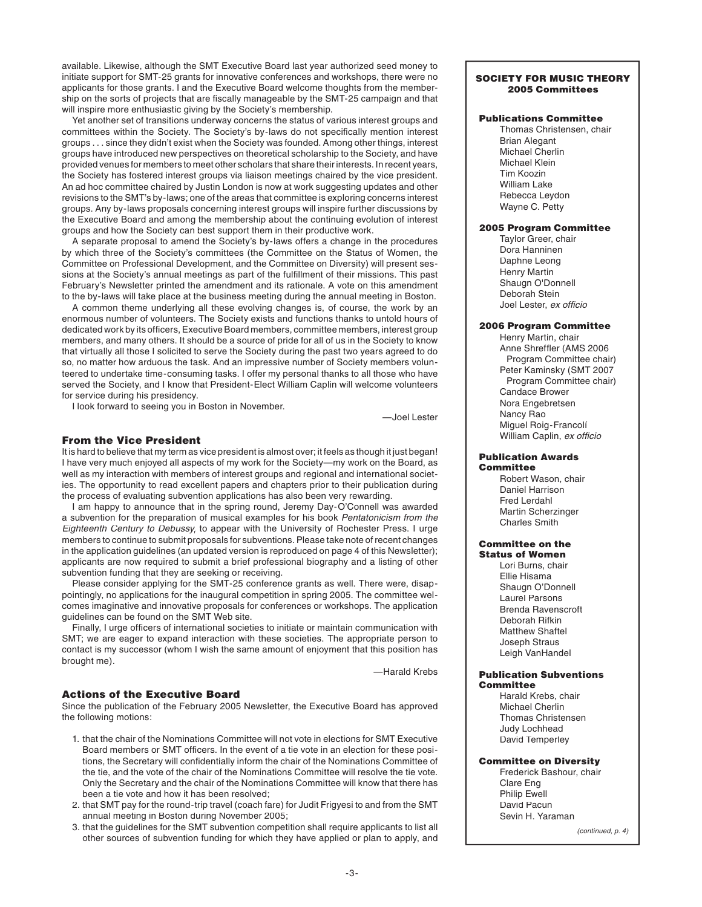available. Likewise, although the SMT Executive Board last year authorized seed money to initiate support for SMT-25 grants for innovative conferences and workshops, there were no applicants for those grants. I and the Executive Board welcome thoughts from the membership on the sorts of projects that are fiscally manageable by the SMT-25 campaign and that will inspire more enthusiastic giving by the Society's membership.

 Yet another set of transitions underway concerns the status of various interest groups and committees within the Society. The Society's by-laws do not specifically mention interest groups . . . since they didn't exist when the Society was founded. Among other things, interest groups have introduced new perspectives on theoretical scholarship to the Society, and have provided venues for members to meet other scholars that share their interests. In recent years, the Society has fostered interest groups via liaison meetings chaired by the vice president. An ad hoc committee chaired by Justin London is now at work suggesting updates and other revisions to the SMT's by-laws; one of the areas that committee is exploring concerns interest groups. Any by-laws proposals concerning interest groups will inspire further discussions by the Executive Board and among the membership about the continuing evolution of interest groups and how the Society can best support them in their productive work.

 A separate proposal to amend the Society's by-laws offers a change in the procedures by which three of the Society's committees (the Committee on the Status of Women, the Committee on Professional Development, and the Committee on Diversity) will present sessions at the Society's annual meetings as part of the fulfillment of their missions. This past February's Newsletter printed the amendment and its rationale. A vote on this amendment to the by-laws will take place at the business meeting during the annual meeting in Boston.

 A common theme underlying all these evolving changes is, of course, the work by an enormous number of volunteers. The Society exists and functions thanks to untold hours of dedicated work by its officers, Executive Board members, committee members, interest group members, and many others. It should be a source of pride for all of us in the Society to know that virtually all those I solicited to serve the Society during the past two years agreed to do so, no matter how arduous the task. And an impressive number of Society members volunteered to undertake time-consuming tasks. I offer my personal thanks to all those who have served the Society, and I know that President-Elect William Caplin will welcome volunteers for service during his presidency.

I look forward to seeing you in Boston in November.

—Joel Lester

# From the Vice President

It is hard to believe that my term as vice president is almost over; it feels as though it just began! I have very much enjoyed all aspects of my work for the Society—my work on the Board, as well as my interaction with members of interest groups and regional and international societies. The opportunity to read excellent papers and chapters prior to their publication during the process of evaluating subvention applications has also been very rewarding.

 I am happy to announce that in the spring round, Jeremy Day-O'Connell was awarded a subvention for the preparation of musical examples for his book Pentatonicism from the Eighteenth Century to Debussy, to appear with the University of Rochester Press. I urge members to continue to submit proposals for subventions. Please take note of recent changes in the application guidelines (an updated version is reproduced on page 4 of this Newsletter); applicants are now required to submit a brief professional biography and a listing of other subvention funding that they are seeking or receiving.

 Please consider applying for the SMT-25 conference grants as well. There were, disappointingly, no applications for the inaugural competition in spring 2005. The committee welcomes imaginative and innovative proposals for conferences or workshops. The application guidelines can be found on the SMT Web site.

Finally, I urge officers of international societies to initiate or maintain communication with SMT; we are eager to expand interaction with these societies. The appropriate person to contact is my successor (whom I wish the same amount of enjoyment that this position has brought me).

—Harald Krebs

# Actions of the Executive Board

Since the publication of the February 2005 Newsletter, the Executive Board has approved the following motions:

- 1. that the chair of the Nominations Committee will not vote in elections for SMT Executive Board members or SMT officers. In the event of a tie vote in an election for these positions, the Secretary will confidentially inform the chair of the Nominations Committee of the tie, and the vote of the chair of the Nominations Committee will resolve the tie vote. Only the Secretary and the chair of the Nominations Committee will know that there has been a tie vote and how it has been resolved;
- 2. that SMT pay for the round-trip travel (coach fare) for Judit Frigyesi to and from the SMT annual meeting in Boston during November 2005;
- 3. that the guidelines for the SMT subvention competition shall require applicants to list all other sources of subvention funding for which they have applied or plan to apply, and

#### SOCIETY FOR MUSIC THEORY 2005 Committees

# Publications Committee

Thomas Christensen, chair Brian Alegant Michael Cherlin Michael Klein Tim Koozin William Lake Rebecca Leydon Wayne C. Petty

#### 2005 Program Committee

Taylor Greer, chair Dora Hanninen Daphne Leong Henry Martin Shaugn O'Donnell Deborah Stein Joel Lester, ex officio

# 2006 Program Committee

Henry Martin, chair Anne Shreffler (AMS 2006 Program Committee chair) Peter Kaminsky (SMT 2007 Program Committee chair) Candace Brower Nora Engebretsen Nancy Rao Miguel Roig-Francolí William Caplin, ex officio

#### Publication Awards **Committee**

Robert Wason, chair Daniel Harrison Fred Lerdahl Martin Scherzinger Charles Smith

#### Committee on the Status of Women

Lori Burns, chair Ellie Hisama Shaugn O'Donnell Laurel Parsons Brenda Ravenscroft Deborah Rifkin Matthew Shaftel Joseph Straus Leigh VanHandel

#### Publication Subventions **Committee**

Harald Krebs, chair Michael Cherlin Thomas Christensen Judy Lochhead David Temperley

# Committee on Diversity

Frederick Bashour, chair Clare Eng Philip Ewell David Pacun Sevin H. Yaraman

(continued, p. 4)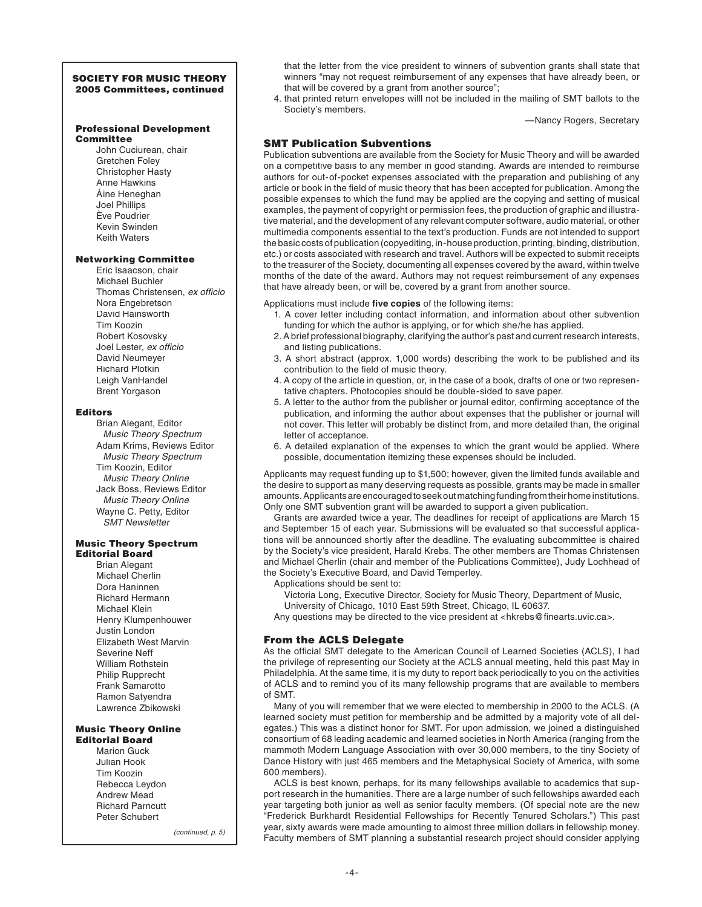## SOCIETY FOR MUSIC THEORY 2005 Committees, continued

#### Professional Development **Committee**

John Cuciurean, chair Gretchen Foley Christopher Hasty Anne Hawkins Áine Heneghan Joel Phillips Ève Poudrier Kevin Swinden Keith Waters

# Networking Committee

Eric Isaacson, chair Michael Buchler Thomas Christensen, ex officio Nora Engebretson David Hainsworth Tim Koozin Robert Kosovsky Joel Lester, ex officio David Neumeyer Richard Plotkin Leigh VanHandel Brent Yorgason

#### Editors

Brian Alegant, Editor Music Theory Spectrum Adam Krims, Reviews Editor Music Theory Spectrum Tim Koozin, Editor Music Theory Online Jack Boss, Reviews Editor Music Theory Online Wayne C. Petty, Editor SMT Newsletter

#### Music Theory Spectrum Editorial Board

Brian Alegant Michael Cherlin Dora Haninnen Richard Hermann Michael Klein Henry Klumpenhouwer Justin London Elizabeth West Marvin Severine Neff William Rothstein Philip Rupprecht Frank Samarotto Ramon Satyendra Lawrence Zbikowski

#### Music Theory Online Editorial Board

Marion Guck Julian Hook Tim Koozin Rebecca Leydon Andrew Mead Richard Parncutt Peter Schubert

(continued, p. 5)

that the letter from the vice president to winners of subvention grants shall state that winners "may not request reimbursement of any expenses that have already been, or that will be covered by a grant from another source";

 4. that printed return envelopes willl not be included in the mailing of SMT ballots to the Society's members.

—Nancy Rogers, Secretary

# SMT Publication Subventions

Publication subventions are available from the Society for Music Theory and will be awarded on a competitive basis to any member in good standing. Awards are intended to reimburse authors for out-of-pocket expenses associated with the preparation and publishing of any article or book in the field of music theory that has been accepted for publication. Among the possible expenses to which the fund may be applied are the copying and setting of musical examples, the payment of copyright or permission fees, the production of graphic and illustrative material, and the development of any relevant computer software, audio material, or other multimedia components essential to the text's production. Funds are not intended to support the basic costs of publication (copyediting, in-house production, printing, binding, distribution, etc.) or costs associated with research and travel. Authors will be expected to submit receipts to the treasurer of the Society, documenting all expenses covered by the award, within twelve months of the date of the award. Authors may not request reimbursement of any expenses that have already been, or will be, covered by a grant from another source.

#### Applications must include five copies of the following items:

- 1. A cover letter including contact information, and information about other subvention funding for which the author is applying, or for which she/he has applied.
- 2. A brief professional biography, clarifying the author's past and current research interests, and listing publications.
- 3. A short abstract (approx. 1,000 words) describing the work to be published and its contribution to the field of music theory.
- 4. A copy of the article in question, or, in the case of a book, drafts of one or two representative chapters. Photocopies should be double-sided to save paper.
- 5. A letter to the author from the publisher or journal editor, confirming acceptance of the publication, and informing the author about expenses that the publisher or journal will not cover. This letter will probably be distinct from, and more detailed than, the original letter of acceptance.
- 6. A detailed explanation of the expenses to which the grant would be applied. Where possible, documentation itemizing these expenses should be included.

Applicants may request funding up to \$1,500; however, given the limited funds available and the desire to support as many deserving requests as possible, grants may be made in smaller amounts. Applicants are encouraged to seek out matching funding from their home institutions. Only one SMT subvention grant will be awarded to support a given publication.

 Grants are awarded twice a year. The deadlines for receipt of applications are March 15 and September 15 of each year. Submissions will be evaluated so that successful applications will be announced shortly after the deadline. The evaluating subcommittee is chaired by the Society's vice president, Harald Krebs. The other members are Thomas Christensen and Michael Cherlin (chair and member of the Publications Committee), Judy Lochhead of the Society's Executive Board, and David Temperley.

Applications should be sent to:

Victoria Long, Executive Director, Society for Music Theory, Department of Music,

University of Chicago, 1010 East 59th Street, Chicago, IL 60637.

Any questions may be directed to the vice president at <hkrebs@finearts.uvic.ca>.

# From the ACLS Delegate

As the official SMT delegate to the American Council of Learned Societies (ACLS), I had the privilege of representing our Society at the ACLS annual meeting, held this past May in Philadelphia. At the same time, it is my duty to report back periodically to you on the activities of ACLS and to remind you of its many fellowship programs that are available to members of SMT.

 Many of you will remember that we were elected to membership in 2000 to the ACLS. (A learned society must petition for membership and be admitted by a majority vote of all delegates.) This was a distinct honor for SMT. For upon admission, we joined a distinguished consortium of 68 leading academic and learned societies in North America (ranging from the mammoth Modern Language Association with over 30,000 members, to the tiny Society of Dance History with just 465 members and the Metaphysical Society of America, with some 600 members).

 ACLS is best known, perhaps, for its many fellowships available to academics that support research in the humanities. There are a large number of such fellowships awarded each year targeting both junior as well as senior faculty members. (Of special note are the new "Frederick Burkhardt Residential Fellowships for Recently Tenured Scholars.") This past year, sixty awards were made amounting to almost three million dollars in fellowship money. Faculty members of SMT planning a substantial research project should consider applying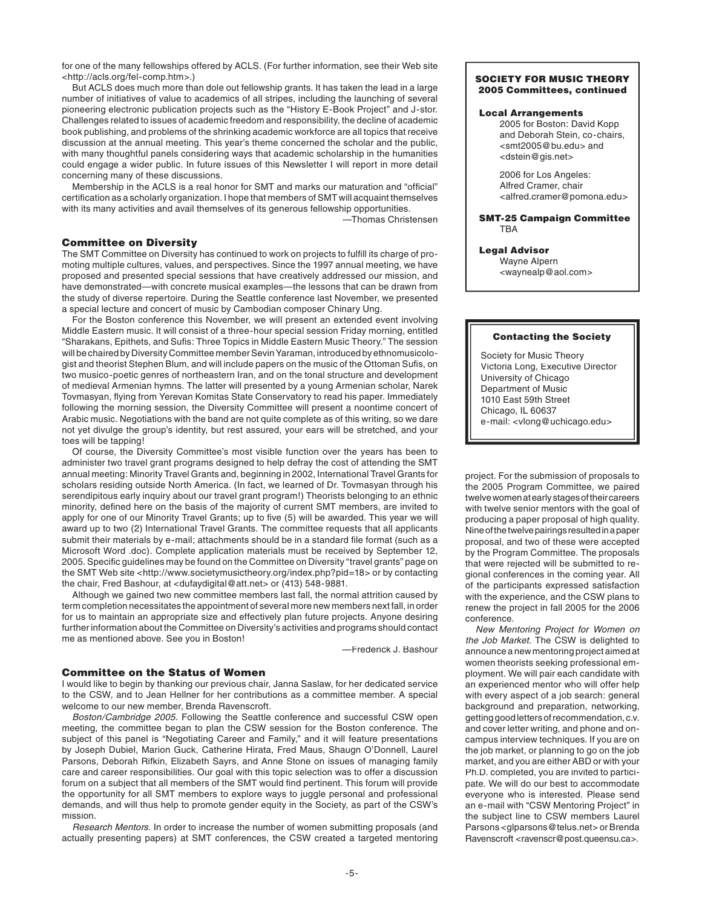for one of the many fellowships offered by ACLS. (For further information, see their Web site <http://acls.org/fel-comp.htm>.)

 But ACLS does much more than dole out fellowship grants. It has taken the lead in a large number of initiatives of value to academics of all stripes, including the launching of several pioneering electronic publication projects such as the "History E-Book Project" and J-stor. Challenges related to issues of academic freedom and responsibility, the decline of academic book publishing, and problems of the shrinking academic workforce are all topics that receive discussion at the annual meeting. This year's theme concerned the scholar and the public, with many thoughtful panels considering ways that academic scholarship in the humanities could engage a wider public. In future issues of this Newsletter I will report in more detail concerning many of these discussions.

Membership in the ACLS is a real honor for SMT and marks our maturation and "official" certification as a scholarly organization. I hope that members of SMT will acquaint themselves with its many activities and avail themselves of its generous fellowship opportunities.

—Thomas Christensen

# Committee on Diversity

The SMT Committee on Diversity has continued to work on projects to fulfill its charge of promoting multiple cultures, values, and perspectives. Since the 1997 annual meeting, we have proposed and presented special sessions that have creatively addressed our mission, and have demonstrated—with concrete musical examples—the lessons that can be drawn from the study of diverse repertoire. During the Seattle conference last November, we presented a special lecture and concert of music by Cambodian composer Chinary Ung.

 For the Boston conference this November, we will present an extended event involving Middle Eastern music. It will consist of a three-hour special session Friday morning, entitled "Sharakans, Epithets, and Sufis: Three Topics in Middle Eastern Music Theory." The session will be chaired by Diversity Committee member Sevin Yaraman, introduced by ethnomusicologist and theorist Stephen Blum, and will include papers on the music of the Ottoman Sufis, on two musico-poetic genres of northeastern Iran, and on the tonal structure and development of medieval Armenian hymns. The latter will presented by a young Armenian scholar, Narek Tovmasyan, flying from Yerevan Komitas State Conservatory to read his paper. Immediately following the morning session, the Diversity Committee will present a noontime concert of Arabic music. Negotiations with the band are not quite complete as of this writing, so we dare not yet divulge the group's identity, but rest assured, your ears will be stretched, and your toes will be tapping!

 Of course, the Diversity Committee's most visible function over the years has been to administer two travel grant programs designed to help defray the cost of attending the SMT annual meeting: Minority Travel Grants and, beginning in 2002, International Travel Grants for scholars residing outside North America. (In fact, we learned of Dr. Tovmasyan through his serendipitous early inquiry about our travel grant program!) Theorists belonging to an ethnic minority, defined here on the basis of the majority of current SMT members, are invited to apply for one of our Minority Travel Grants; up to five (5) will be awarded. This year we will award up to two (2) International Travel Grants. The committee requests that all applicants submit their materials by e-mail; attachments should be in a standard file format (such as a Microsoft Word .doc). Complete application materials must be received by September 12, 2005. Specific guidelines may be found on the Committee on Diversity "travel grants" page on the SMT Web site <http://www.societymusictheory.org/index.php?pid=18> or by contacting the chair, Fred Bashour, at <dufaydigital@att.net> or (413) 548-9881.

 Although we gained two new committee members last fall, the normal attrition caused by term completion necessitates the appointment of several more new members next fall, in order for us to maintain an appropriate size and effectively plan future projects. Anyone desiring further information about the Committee on Diversity's activities and programs should contact me as mentioned above. See you in Boston!

—Frederick J. Bashour

# Committee on the Status of Women

I would like to begin by thanking our previous chair, Janna Saslaw, for her dedicated service to the CSW, and to Jean Hellner for her contributions as a committee member. A special welcome to our new member, Brenda Ravenscroft.

 Boston/Cambridge 2005. Following the Seattle conference and successful CSW open meeting, the committee began to plan the CSW session for the Boston conference. The subject of this panel is "Negotiating Career and Family," and it will feature presentations by Joseph Dubiel, Marion Guck, Catherine Hirata, Fred Maus, Shaugn O'Donnell, Laurel Parsons, Deborah Rifkin, Elizabeth Sayrs, and Anne Stone on issues of managing family care and career responsibilities. Our goal with this topic selection was to offer a discussion forum on a subject that all members of the SMT would find pertinent. This forum will provide the opportunity for all SMT members to explore ways to juggle personal and professional demands, and will thus help to promote gender equity in the Society, as part of the CSW's mission.

 Research Mentors. In order to increase the number of women submitting proposals (and actually presenting papers) at SMT conferences, the CSW created a targeted mentoring

#### SOCIETY FOR MUSIC THEORY 2005 Committees, continued

## Local Arrangements

2005 for Boston: David Kopp and Deborah Stein, co-chairs, <smt2005@bu.edu> and <dstein@gis.net>

2006 for Los Angeles: Alfred Cramer, chair <alfred.cramer@pomona.edu>

SMT-25 Campaign Committee TBA

#### Legal Advisor

Wayne Alpern <waynealp@aol.com>

#### Contacting the Society

Society for Music Theory Victoria Long, Executive Director University of Chicago Department of Music 1010 East 59th Street Chicago, IL 60637 e-mail: <vlong@uchicago.edu>

project. For the submission of proposals to the 2005 Program Committee, we paired twelve women at early stages of their careers with twelve senior mentors with the goal of producing a paper proposal of high quality. Nine of the twelve pairings resulted in a paper proposal, and two of these were accepted by the Program Committee. The proposals that were rejected will be submitted to regional conferences in the coming year. All of the participants expressed satisfaction with the experience, and the CSW plans to renew the project in fall 2005 for the 2006 conference.

 New Mentoring Project for Women on the Job Market. The CSW is delighted to announce a new mentoring project aimed at women theorists seeking professional employment. We will pair each candidate with an experienced mentor who will offer help with every aspect of a job search: general background and preparation, networking, getting good letters of recommendation, c.v. and cover letter writing, and phone and oncampus interview techniques. If you are on the job market, or planning to go on the job market, and you are either ABD or with your Ph.D. completed, you are invited to participate. We will do our best to accommodate everyone who is interested. Please send an e-mail with "CSW Mentoring Project" in the subject line to CSW members Laurel Parsons <glparsons@telus.net> or Brenda Ravenscroft <ravenscr@post.queensu.ca>.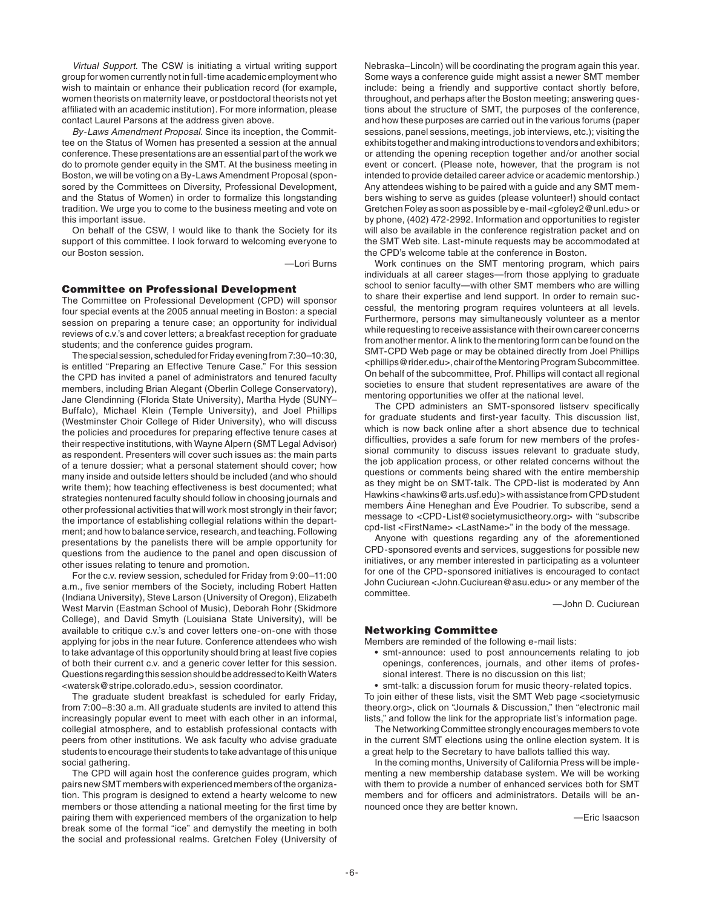Virtual Support. The CSW is initiating a virtual writing support group for women currently not in full-time academic employment who wish to maintain or enhance their publication record (for example, women theorists on maternity leave, or postdoctoral theorists not yet affiliated with an academic institution). For more information, please contact Laurel Parsons at the address given above.

 By-Laws Amendment Proposal. Since its inception, the Committee on the Status of Women has presented a session at the annual conference. These presentations are an essential part of the work we do to promote gender equity in the SMT. At the business meeting in Boston, we will be voting on a By-Laws Amendment Proposal (sponsored by the Committees on Diversity, Professional Development, and the Status of Women) in order to formalize this longstanding tradition. We urge you to come to the business meeting and vote on this important issue.

 On behalf of the CSW, I would like to thank the Society for its support of this committee. I look forward to welcoming everyone to our Boston session.

—Lori Burns

#### Committee on Professional Development

The Committee on Professional Development (CPD) will sponsor four special events at the 2005 annual meeting in Boston: a special session on preparing a tenure case; an opportunity for individual reviews of c.v.'s and cover letters; a breakfast reception for graduate students; and the conference guides program.

 The special session, scheduled for Friday evening from 7:30–10:30, is entitled "Preparing an Effective Tenure Case." For this session the CPD has invited a panel of administrators and tenured faculty members, including Brian Alegant (Oberlin College Conservatory), Jane Clendinning (Florida State University), Martha Hyde (SUNY– Buffalo), Michael Klein (Temple University), and Joel Phillips (Westminster Choir College of Rider University), who will discuss the policies and procedures for preparing effective tenure cases at their respective institutions, with Wayne Alpern (SMT Legal Advisor) as respondent. Presenters will cover such issues as: the main parts of a tenure dossier; what a personal statement should cover; how many inside and outside letters should be included (and who should write them); how teaching effectiveness is best documented; what strategies nontenured faculty should follow in choosing journals and other professional activities that will work most strongly in their favor; the importance of establishing collegial relations within the department; and how to balance service, research, and teaching. Following presentations by the panelists there will be ample opportunity for questions from the audience to the panel and open discussion of other issues relating to tenure and promotion.

 For the c.v. review session, scheduled for Friday from 9:00–11:00 a.m., five senior members of the Society, including Robert Hatten (Indiana University), Steve Larson (University of Oregon), Elizabeth West Marvin (Eastman School of Music), Deborah Rohr (Skidmore College), and David Smyth (Louisiana State University), will be available to critique c.v.'s and cover letters one-on-one with those applying for jobs in the near future. Conference attendees who wish to take advantage of this opportunity should bring at least five copies of both their current c.v. and a generic cover letter for this session. Questions regarding this session should be addressed to Keith Waters <watersk@stripe.colorado.edu>, session coordinator.

 The graduate student breakfast is scheduled for early Friday, from 7:00–8:30 a.m. All graduate students are invited to attend this increasingly popular event to meet with each other in an informal, collegial atmosphere, and to establish professional contacts with peers from other institutions. We ask faculty who advise graduate students to encourage their students to take advantage of this unique social gathering.

 The CPD will again host the conference guides program, which pairs new SMT members with experienced members of the organization. This program is designed to extend a hearty welcome to new members or those attending a national meeting for the first time by pairing them with experienced members of the organization to help break some of the formal "ice" and demystify the meeting in both the social and professional realms. Gretchen Foley (University of

Nebraska–Lincoln) will be coordinating the program again this year. Some ways a conference guide might assist a newer SMT member include: being a friendly and supportive contact shortly before, throughout, and perhaps after the Boston meeting; answering questions about the structure of SMT, the purposes of the conference, and how these purposes are carried out in the various forums (paper sessions, panel sessions, meetings, job interviews, etc.); visiting the exhibits together and making introductions to vendors and exhibitors; or attending the opening reception together and/or another social event or concert. (Please note, however, that the program is not intended to provide detailed career advice or academic mentorship.) Any attendees wishing to be paired with a guide and any SMT members wishing to serve as guides (please volunteer!) should contact Gretchen Foley as soon as possible by e-mail <gfoley2@unl.edu> or by phone, (402) 472-2992. Information and opportunities to register will also be available in the conference registration packet and on the SMT Web site. Last-minute requests may be accommodated at the CPD's welcome table at the conference in Boston.

 Work continues on the SMT mentoring program, which pairs individuals at all career stages—from those applying to graduate school to senior faculty—with other SMT members who are willing to share their expertise and lend support. In order to remain successful, the mentoring program requires volunteers at all levels. Furthermore, persons may simultaneously volunteer as a mentor while requesting to receive assistance with their own career concerns from another mentor. A link to the mentoring form can be found on the SMT-CPD Web page or may be obtained directly from Joel Phillips <phillips@rider.edu>, chair of the Mentoring Program Subcommittee. On behalf of the subcommittee, Prof. Phillips will contact all regional societies to ensure that student representatives are aware of the mentoring opportunities we offer at the national level.

The CPD administers an SMT-sponsored listserv specifically for graduate students and first-year faculty. This discussion list, which is now back online after a short absence due to technical difficulties, provides a safe forum for new members of the professional community to discuss issues relevant to graduate study, the job application process, or other related concerns without the questions or comments being shared with the entire membership as they might be on SMT-talk. The CPD-list is moderated by Ann Hawkins <hawkins@arts.usf.edu)> with assistance from CPD student members Áine Heneghan and Ève Poudrier. To subscribe, send a message to <CPD-List@societymusictheory.org> with "subscribe cpd-list <FirstName> <LastName>" in the body of the message.

 Anyone with questions regarding any of the aforementioned CPD-sponsored events and services, suggestions for possible new initiatives, or any member interested in participating as a volunteer for one of the CPD-sponsored initiatives is encouraged to contact John Cuciurean <John.Cuciurean@asu.edu> or any member of the committee.

—John D. Cuciurean

# Networking Committee

Members are reminded of the following e-mail lists:

- smt-announce: used to post announcements relating to job openings, conferences, journals, and other items of professional interest. There is no discussion on this list;
- smt-talk: a discussion forum for music theory-related topics.

To join either of these lists, visit the SMT Web page <societymusic theory.org>, click on "Journals & Discussion," then "electronic mail lists," and follow the link for the appropriate list's information page.

 The Networking Committee strongly encourages members to vote in the current SMT elections using the online election system. It is a great help to the Secretary to have ballots tallied this way.

 In the coming months, University of California Press will be implementing a new membership database system. We will be working with them to provide a number of enhanced services both for SMT members and for officers and administrators. Details will be announced once they are better known.

—Eric Isaacson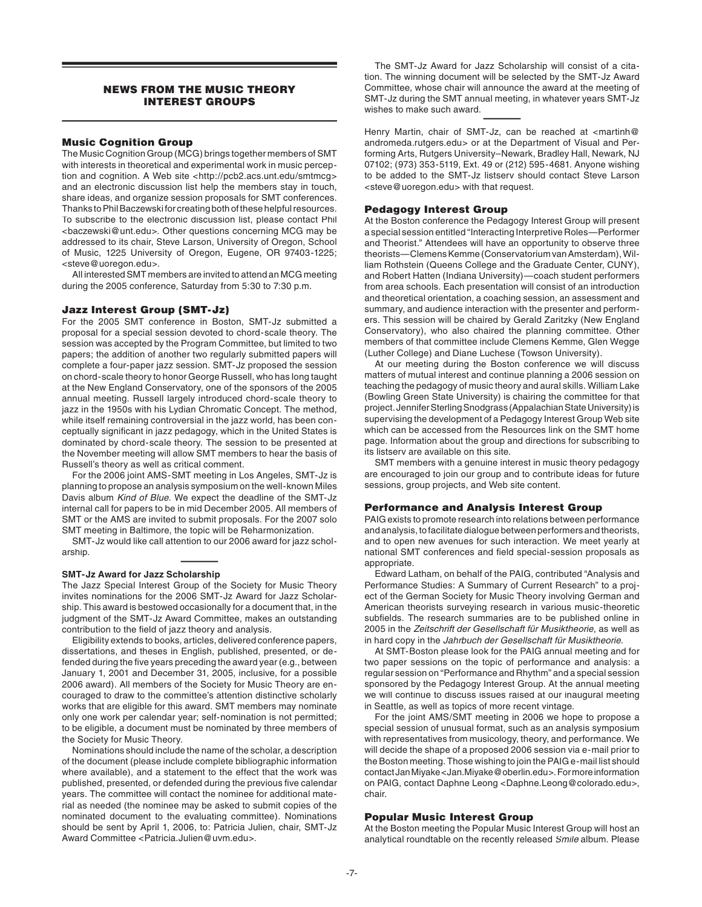# NEWS FROM THE MUSIC THEORY INTEREST GROUPS

## **Music Cognition Group**

The Music Cognition Group (MCG) brings together members of SMT with interests in theoretical and experimental work in music perception and cognition. A Web site <http://pcb2.acs.unt.edu/smtmcg> and an electronic discussion list help the members stay in touch, share ideas, and organize session proposals for SMT conferences. Thanks to Phil Baczewski for creating both of these helpful resources. To subscribe to the electronic discussion list, please contact Phil <baczewski@unt.edu>. Other questions concerning MCG may be addressed to its chair, Steve Larson, University of Oregon, School of Music, 1225 University of Oregon, Eugene, OR 97403-1225; <steve@uoregon.edu>.

 All interested SMT members are invited to attend an MCG meeting during the 2005 conference, Saturday from 5:30 to 7:30 p.m.

#### Jazz Interest Group (SMT-Jz)

For the 2005 SMT conference in Boston, SMT-Jz submitted a proposal for a special session devoted to chord-scale theory. The session was accepted by the Program Committee, but limited to two papers; the addition of another two regularly submitted papers will complete a four-paper jazz session. SMT-Jz proposed the session on chord-scale theory to honor George Russell, who has long taught at the New England Conservatory, one of the sponsors of the 2005 annual meeting. Russell largely introduced chord-scale theory to jazz in the 1950s with his Lydian Chromatic Concept. The method, while itself remaining controversial in the jazz world, has been conceptually significant in jazz pedagogy, which in the United States is dominated by chord-scale theory. The session to be presented at the November meeting will allow SMT members to hear the basis of Russell's theory as well as critical comment.

For the 2006 joint AMS-SMT meeting in Los Angeles, SMT-Jz is planning to propose an analysis symposium on the well-known Miles Davis album Kind of Blue. We expect the deadline of the SMT-Jz internal call for papers to be in mid December 2005. All members of SMT or the AMS are invited to submit proposals. For the 2007 solo SMT meeting in Baltimore, the topic will be Reharmonization.

 SMT-Jz would like call attention to our 2006 award for jazz scholarship.

#### **SMT-Jz Award for Jazz Scholarship**

The Jazz Special Interest Group of the Society for Music Theory invites nominations for the 2006 SMT-Jz Award for Jazz Scholarship. This award is bestowed occasionally for a document that, in the judgment of the SMT-Jz Award Committee, makes an outstanding contribution to the field of jazz theory and analysis.

Eligibility extends to books, articles, delivered conference papers, dissertations, and theses in English, published, presented, or defended during the five years preceding the award year (e.g., between January 1, 2001 and December 31, 2005, inclusive, for a possible 2006 award). All members of the Society for Music Theory are encouraged to draw to the committee's attention distinctive scholarly works that are eligible for this award. SMT members may nominate only one work per calendar year; self-nomination is not permitted; to be eligible, a document must be nominated by three members of the Society for Music Theory.

Nominations should include the name of the scholar, a description of the document (please include complete bibliographic information where available), and a statement to the effect that the work was published, presented, or defended during the previous five calendar years. The committee will contact the nominee for additional material as needed (the nominee may be asked to submit copies of the nominated document to the evaluating committee). Nominations should be sent by April 1, 2006, to: Patricia Julien, chair, SMT-Jz Award Committee <Patricia.Julien@uvm.edu>.

 The SMT-Jz Award for Jazz Scholarship will consist of a citation. The winning document will be selected by the SMT-Jz Award Committee, whose chair will announce the award at the meeting of SMT-Jz during the SMT annual meeting, in whatever years SMT-Jz wishes to make such award.

Henry Martin, chair of SMT-Jz, can be reached at <martinh@ andromeda.rutgers.edu> or at the Department of Visual and Performing Arts, Rutgers University–Newark, Bradley Hall, Newark, NJ 07102; (973) 353-5119, Ext. 49 or (212) 595-4681. Anyone wishing to be added to the SMT-Jz listserv should contact Steve Larson <steve@uoregon.edu> with that request.

#### Pedagogy Interest Group

At the Boston conference the Pedagogy Interest Group will present a special session entitled "Interacting Interpretive Roles—Performer and Theorist." Attendees will have an opportunity to observe three theorists—Clemens Kemme (Conservatorium van Amsterdam), William Rothstein (Queens College and the Graduate Center, CUNY), and Robert Hatten (Indiana University)—coach student performers from area schools. Each presentation will consist of an introduction and theoretical orientation, a coaching session, an assessment and summary, and audience interaction with the presenter and performers. This session will be chaired by Gerald Zaritzky (New England Conservatory), who also chaired the planning committee. Other members of that committee include Clemens Kemme, Glen Wegge (Luther College) and Diane Luchese (Towson University).

 At our meeting during the Boston conference we will discuss matters of mutual interest and continue planning a 2006 session on teaching the pedagogy of music theory and aural skills. William Lake (Bowling Green State University) is chairing the committee for that project. Jennifer Sterling Snodgrass (Appalachian State University) is supervising the development of a Pedagogy Interest Group Web site which can be accessed from the Resources link on the SMT home page. Information about the group and directions for subscribing to its listserv are available on this site.

 SMT members with a genuine interest in music theory pedagogy are encouraged to join our group and to contribute ideas for future sessions, group projects, and Web site content.

#### Performance and Analysis Interest Group

PAIG exists to promote research into relations between performance and analysis, to facilitate dialogue between performers and theorists, and to open new avenues for such interaction. We meet yearly at national SMT conferences and field special-session proposals as appropriate.

 Edward Latham, on behalf of the PAIG, contributed "Analysis and Performance Studies: A Summary of Current Research" to a project of the German Society for Music Theory involving German and American theorists surveying research in various music-theoretic subfields. The research summaries are to be published online in 2005 in the Zeitschrift der Gesellschaft für Musiktheorie, as well as in hard copy in the Jahrbuch der Gesellschaft für Musiktheorie.

 At SMT-Boston please look for the PAIG annual meeting and for two paper sessions on the topic of performance and analysis: a regular session on "Performance and Rhythm" and a special session sponsored by the Pedagogy Interest Group. At the annual meeting we will continue to discuss issues raised at our inaugural meeting in Seattle, as well as topics of more recent vintage.

 For the joint AMS/SMT meeting in 2006 we hope to propose a special session of unusual format, such as an analysis symposium with representatives from musicology, theory, and performance. We will decide the shape of a proposed 2006 session via e-mail prior to the Boston meeting. Those wishing to join the PAIG e-mail list should contact Jan Miyake <Jan.Miyake@oberlin.edu>. For more information on PAIG, contact Daphne Leong <Daphne.Leong@colorado.edu>, chair.

#### Popular Music Interest Group

At the Boston meeting the Popular Music Interest Group will host an analytical roundtable on the recently released Smile album. Please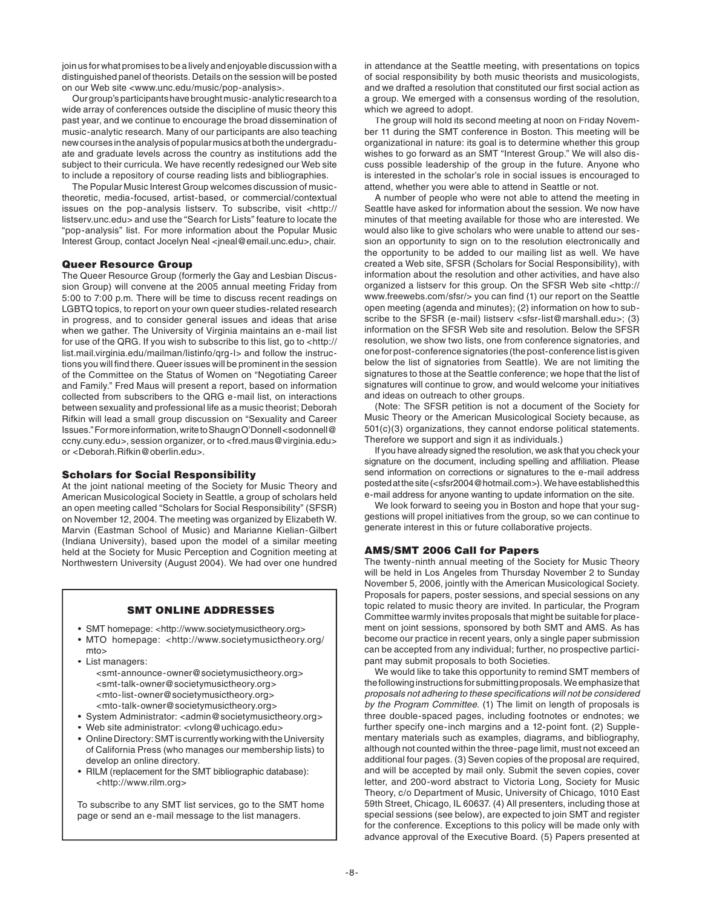join us for what promises to be a lively and enjoyable discussion with a distinguished panel of theorists. Details on the session will be posted on our Web site <www.unc.edu/music/pop-analysis>.

 Our group's participants have brought music-analytic research to a wide array of conferences outside the discipline of music theory this past year, and we continue to encourage the broad dissemination of music-analytic research. Many of our participants are also teaching new courses in the analysis of popular musics at both the undergraduate and graduate levels across the country as institutions add the subject to their curricula. We have recently redesigned our Web site to include a repository of course reading lists and bibliographies.

 The Popular Music Interest Group welcomes discussion of musictheoretic, media-focused, artist-based, or commercial/contextual issues on the pop-analysis listserv. To subscribe, visit <http:// listserv.unc.edu> and use the "Search for Lists" feature to locate the "pop-analysis" list. For more information about the Popular Music Interest Group, contact Jocelyn Neal <jneal@email.unc.edu>, chair.

## Queer Resource Group

The Queer Resource Group (formerly the Gay and Lesbian Discussion Group) will convene at the 2005 annual meeting Friday from 5:00 to 7:00 p.m. There will be time to discuss recent readings on LGBTQ topics, to report on your own queer studies-related research in progress, and to consider general issues and ideas that arise when we gather. The University of Virginia maintains an e-mail list for use of the QRG. If you wish to subscribe to this list, go to <http:// list.mail.virginia.edu/mailman/listinfo/qrg-l> and follow the instructions you will find there. Queer issues will be prominent in the session of the Committee on the Status of Women on "Negotiating Career and Family." Fred Maus will present a report, based on information collected from subscribers to the QRG e-mail list, on interactions between sexuality and professional life as a music theorist; Deborah Rifkin will lead a small group discussion on "Sexuality and Career Issues." For more information, write to Shaugn O'Donnell <sodonnell@ ccny.cuny.edu>, session organizer, or to <fred.maus@virginia.edu> or <Deborah.Rifkin@oberlin.edu>.

## Scholars for Social Responsibility

At the joint national meeting of the Society for Music Theory and American Musicological Society in Seattle, a group of scholars held an open meeting called "Scholars for Social Responsibility" (SFSR) on November 12, 2004. The meeting was organized by Elizabeth W. Marvin (Eastman School of Music) and Marianne Kielian-Gilbert (Indiana University), based upon the model of a similar meeting held at the Society for Music Perception and Cognition meeting at Northwestern University (August 2004). We had over one hundred

# SMT ONLINE ADDRESSES

- SMT homepage: <http://www.societymusictheory.org>
- MTO homepage: <http://www.societymusictheory.org/ mto>
- List managers:

 <smt-announce-owner@societymusictheory.org> <smt-talk-owner@societymusictheory.org> <mto-list-owner@societymusictheory.org> <mto-talk-owner@societymusictheory.org>

- System Administrator: <admin@societymusictheory.org>
- Web site administrator: <vlong@uchicago.edu>
- Online Directory: SMT is currently working with the University of California Press (who manages our membership lists) to develop an online directory.
- RILM (replacement for the SMT bibliographic database): <http://www.rilm.org>

To subscribe to any SMT list services, go to the SMT home page or send an e-mail message to the list managers.

in attendance at the Seattle meeting, with presentations on topics of social responsibility by both music theorists and musicologists, and we drafted a resolution that constituted our first social action as a group. We emerged with a consensus wording of the resolution, which we agreed to adopt.

 The group will hold its second meeting at noon on Friday November 11 during the SMT conference in Boston. This meeting will be organizational in nature: its goal is to determine whether this group wishes to go forward as an SMT "Interest Group." We will also discuss possible leadership of the group in the future. Anyone who is interested in the scholar's role in social issues is encouraged to attend, whether you were able to attend in Seattle or not.

 A number of people who were not able to attend the meeting in Seattle have asked for information about the session. We now have minutes of that meeting available for those who are interested. We would also like to give scholars who were unable to attend our session an opportunity to sign on to the resolution electronically and the opportunity to be added to our mailing list as well. We have created a Web site, SFSR (Scholars for Social Responsibility), with information about the resolution and other activities, and have also organized a listserv for this group. On the SFSR Web site <http:// www.freewebs.com/sfsr/> you can find (1) our report on the Seattle open meeting (agenda and minutes); (2) information on how to subscribe to the SFSR (e-mail) listserv <sfsr-list@marshall.edu>; (3) information on the SFSR Web site and resolution. Below the SFSR resolution, we show two lists, one from conference signatories, and one for post-conference signatories (the post-conference list is given below the list of signatories from Seattle). We are not limiting the signatures to those at the Seattle conference; we hope that the list of signatures will continue to grow, and would welcome your initiatives and ideas on outreach to other groups.

 (Note: The SFSR petition is not a document of the Society for Music Theory or the American Musicological Society because, as 501(c)(3) organizations, they cannot endorse political statements. Therefore we support and sign it as individuals.)

 If you have already signed the resolution, we ask that you check your signature on the document, including spelling and affiliation. Please send information on corrections or signatures to the e-mail address posted at the site (<sfsr2004@hotmail.com>). We have established this e-mail address for anyone wanting to update information on the site.

 We look forward to seeing you in Boston and hope that your suggestions will propel initiatives from the group, so we can continue to generate interest in this or future collaborative projects.

## AMS/SMT 2006 Call for Papers

The twenty-ninth annual meeting of the Society for Music Theory will be held in Los Angeles from Thursday November 2 to Sunday November 5, 2006, jointly with the American Musicological Society. Proposals for papers, poster sessions, and special sessions on any topic related to music theory are invited. In particular, the Program Committee warmly invites proposals that might be suitable for placement on joint sessions, sponsored by both SMT and AMS. As has become our practice in recent years, only a single paper submission can be accepted from any individual; further, no prospective participant may submit proposals to both Societies.

 We would like to take this opportunity to remind SMT members of the following instructions for submitting proposals. We emphasize that proposals not adhering to these specifications will not be considered by the Program Committee. (1) The limit on length of proposals is three double-spaced pages, including footnotes or endnotes; we further specify one-inch margins and a 12-point font. (2) Supplementary materials such as examples, diagrams, and bibliography, although not counted within the three-page limit, must not exceed an additional four pages. (3) Seven copies of the proposal are required, and will be accepted by mail only. Submit the seven copies, cover letter, and 200-word abstract to Victoria Long, Society for Music Theory, c/o Department of Music, University of Chicago, 1010 East 59th Street, Chicago, IL 60637. (4) All presenters, including those at special sessions (see below), are expected to join SMT and register for the conference. Exceptions to this policy will be made only with advance approval of the Executive Board. (5) Papers presented at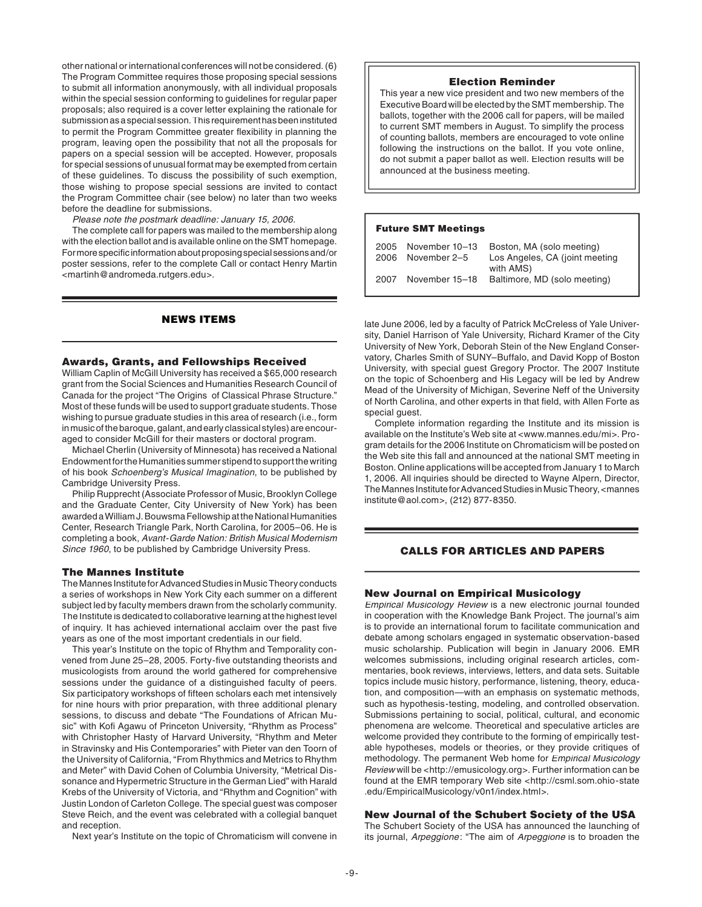other national or international conferences will not be considered. (6) The Program Committee requires those proposing special sessions to submit all information anonymously, with all individual proposals within the special session conforming to guidelines for regular paper proposals; also required is a cover letter explaining the rationale for submission as a special session. This requirement has been instituted to permit the Program Committee greater flexibility in planning the program, leaving open the possibility that not all the proposals for papers on a special session will be accepted. However, proposals for special sessions of unusual format may be exempted from certain of these guidelines. To discuss the possibility of such exemption, those wishing to propose special sessions are invited to contact the Program Committee chair (see below) no later than two weeks before the deadline for submissions.

Please note the postmark deadline: January 15, 2006.

 The complete call for papers was mailed to the membership along with the election ballot and is available online on the SMT homepage. For more specific information about proposing special sessions and/or poster sessions, refer to the complete Call or contact Henry Martin <martinh@andromeda.rutgers.edu>.

# NEWS ITEMS

#### Awards, Grants, and Fellowships Received

William Caplin of McGill University has received a \$65,000 research grant from the Social Sciences and Humanities Research Council of Canada for the project "The Origins of Classical Phrase Structure." Most of these funds will be used to support graduate students. Those wishing to pursue graduate studies in this area of research (i.e., form in music of the baroque, galant, and early classical styles) are encouraged to consider McGill for their masters or doctoral program.

 Michael Cherlin (University of Minnesota) has received a National Endowment for the Humanities summer stipend to support the writing of his book Schoenberg's Musical Imagination, to be published by Cambridge University Press.

 Philip Rupprecht (Associate Professor of Music, Brooklyn College and the Graduate Center, City University of New York) has been awarded a William J. Bouwsma Fellowship at the National Humanities Center, Research Triangle Park, North Carolina, for 2005–06. He is completing a book, Avant-Garde Nation: British Musical Modernism Since 1960, to be published by Cambridge University Press.

## The Mannes Institute

The Mannes Institute for Advanced Studies in Music Theory conducts a series of workshops in New York City each summer on a different subject led by faculty members drawn from the scholarly community. The Institute is dedicated to collaborative learning at the highest level of inquiry. It has achieved international acclaim over the past five years as one of the most important credentials in our field.

 This year's Institute on the topic of Rhythm and Temporality convened from June 25-28, 2005. Forty-five outstanding theorists and musicologists from around the world gathered for comprehensive sessions under the guidance of a distinguished faculty of peers. Six participatory workshops of fifteen scholars each met intensively for nine hours with prior preparation, with three additional plenary sessions, to discuss and debate "The Foundations of African Music" with Kofi Agawu of Princeton University, "Rhythm as Process" with Christopher Hasty of Harvard University, "Rhythm and Meter in Stravinsky and His Contemporaries" with Pieter van den Toorn of the University of California, "From Rhythmics and Metrics to Rhythm and Meter" with David Cohen of Columbia University, "Metrical Dissonance and Hypermetric Structure in the German Lied" with Harald Krebs of the University of Victoria, and "Rhythm and Cognition" with Justin London of Carleton College. The special guest was composer Steve Reich, and the event was celebrated with a collegial banquet and reception.

Next year's Institute on the topic of Chromaticism will convene in

#### Election Reminder

This year a new vice president and two new members of the Executive Board will be elected by the SMT membership. The ballots, together with the 2006 call for papers, will be mailed to current SMT members in August. To simplify the process of counting ballots, members are encouraged to vote online following the instructions on the ballot. If you vote online, do not submit a paper ballot as well. Election results will be announced at the business meeting.

## Future SMT Meetings

|      | 2005 November 10-13 | Boston, MA (solo meeting)      |
|------|---------------------|--------------------------------|
| 2006 | November 2–5        | Los Angeles, CA (joint meeting |
|      |                     | with AMS)                      |
| 2007 | November 15-18      | Baltimore, MD (solo meeting)   |

late June 2006, led by a faculty of Patrick McCreless of Yale University, Daniel Harrison of Yale University, Richard Kramer of the City University of New York, Deborah Stein of the New England Conservatory, Charles Smith of SUNY–Buffalo, and David Kopp of Boston University, with special guest Gregory Proctor. The 2007 Institute on the topic of Schoenberg and His Legacy will be led by Andrew Mead of the University of Michigan, Severine Neff of the University of North Carolina, and other experts in that field, with Allen Forte as special quest.

 Complete information regarding the Institute and its mission is available on the Institute's Web site at <www.mannes.edu/mi>. Program details for the 2006 Institute on Chromaticism will be posted on the Web site this fall and announced at the national SMT meeting in Boston. Online applications will be accepted from January 1 to March 1, 2006. All inquiries should be directed to Wayne Alpern, Director, The Mannes Institute for Advanced Studies in Music Theory, <mannes institute@aol.com>, (212) 877-8350.

# CALLS FOR ARTICLES AND PAPERS

# New Journal on Empirical Musicology

Empirical Musicology Review is a new electronic journal founded in cooperation with the Knowledge Bank Project. The journal's aim is to provide an international forum to facilitate communication and debate among scholars engaged in systematic observation-based music scholarship. Publication will begin in January 2006. EMR welcomes submissions, including original research articles, commentaries, book reviews, interviews, letters, and data sets. Suitable topics include music history, performance, listening, theory, education, and composition—with an emphasis on systematic methods, such as hypothesis-testing, modeling, and controlled observation. Submissions pertaining to social, political, cultural, and economic phenomena are welcome. Theoretical and speculative articles are welcome provided they contribute to the forming of empirically testable hypotheses, models or theories, or they provide critiques of methodology. The permanent Web home for Empirical Musicology Review will be <http://emusicology.org>. Further information can be found at the EMR temporary Web site <http://csml.som.ohio-state .edu/EmpiricalMusicology/v0n1/index.html>.

#### New Journal of the Schubert Society of the USA

The Schubert Society of the USA has announced the launching of its journal, Arpeggione: "The aim of Arpeggione is to broaden the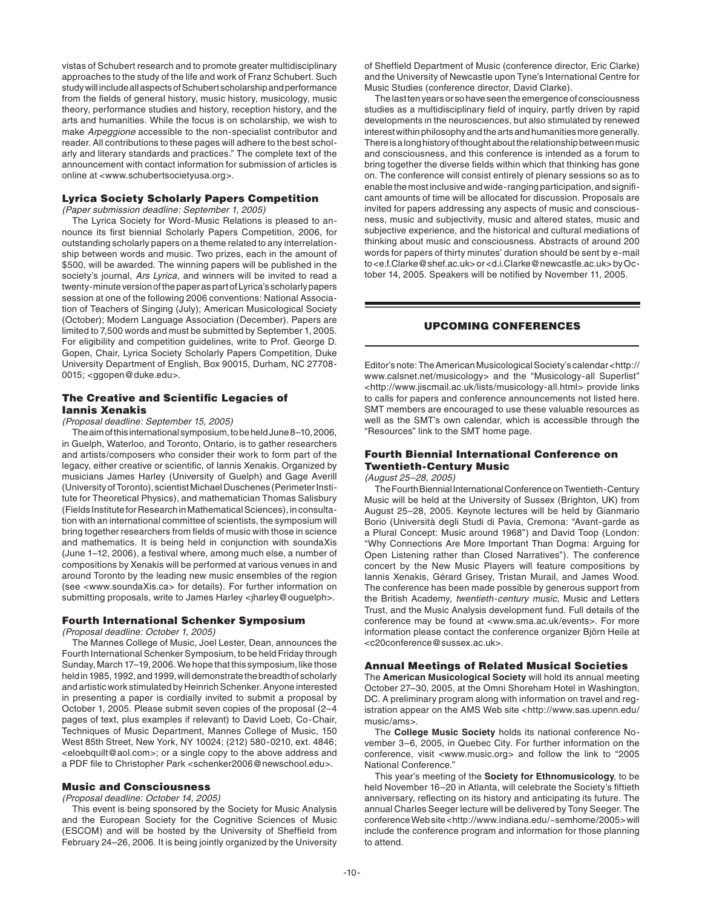vistas of Schubert research and to promote greater multidisciplinary approaches to the study of the life and work of Franz Schubert. Such study will include all aspects of Schubert scholarship and performance from the fields of general history, music history, musicology, music theory, performance studies and history, reception history, and the arts and humanities. While the focus is on scholarship, we wish to make Arpeggione accessible to the non-specialist contributor and reader. All contributions to these pages will adhere to the best scholarly and literary standards and practices." The complete text of the announcement with contact information for submission of articles is online at <www.schubertsocietyusa.org>.

## Lyrica Society Scholarly Papers Competition

(Paper submission deadline: September 1, 2005)

 The Lyrica Society for Word-Music Relations is pleased to announce its first biennial Scholarly Papers Competition, 2006, for outstanding scholarly papers on a theme related to any interrelationship between words and music. Two prizes, each in the amount of \$500, will be awarded. The winning papers will be published in the society's journal, Ars Lyrica, and winners will be invited to read a twenty-minute version of the paper as part of Lyrica's scholarly papers session at one of the following 2006 conventions: National Association of Teachers of Singing (July); American Musicological Society (October); Modern Language Association (December). Papers are limited to 7,500 words and must be submitted by September 1, 2005. For eligibility and competition guidelines, write to Prof. George D. Gopen, Chair, Lyrica Society Scholarly Papers Competition, Duke University Department of English, Box 90015, Durham, NC 27708- 0015; <ggopen@duke.edu>.

# The Creative and Scientific Legacies of Iannis Xenakis

## (Proposal deadline: September 15, 2005)

 The aim of this international symposium, to be held June 8–10, 2006, in Guelph, Waterloo, and Toronto, Ontario, is to gather researchers and artists/composers who consider their work to form part of the legacy, either creative or scientific, of Iannis Xenakis. Organized by musicians James Harley (University of Guelph) and Gage Averill (University of Toronto), scientist Michael Duschenes (Perimeter Institute for Theoretical Physics), and mathematician Thomas Salisbury (Fields Institute for Research in Mathematical Sciences), in consultation with an international committee of scientists, the symposium will bring together researchers from fields of music with those in science and mathematics. It is being held in conjunction with soundaXis (June 1–12, 2006), a festival where, among much else, a number of compositions by Xenakis will be performed at various venues in and around Toronto by the leading new music ensembles of the region (see <www.soundaXis.ca> for details). For further information on submitting proposals, write to James Harley <jharley@ouguelph>.

#### Fourth International Schenker Symposium

(Proposal deadline: October 1, 2005)

 The Mannes College of Music, Joel Lester, Dean, announces the Fourth International Schenker Symposium, to be held Friday through Sunday, March 17–19, 2006. We hope that this symposium, like those held in 1985, 1992, and 1999, will demonstrate the breadth of scholarly and artistic work stimulated by Heinrich Schenker. Anyone interested in presenting a paper is cordially invited to submit a proposal by October 1, 2005. Please submit seven copies of the proposal (2–4 pages of text, plus examples if relevant) to David Loeb, Co-Chair, Techniques of Music Department, Mannes College of Music, 150 West 85th Street, New York, NY 10024; (212) 580-0210, ext. 4846; <eloebquilt@aol.com>; or a single copy to the above address and a PDF file to Christopher Park <schenker2006@newschool.edu>.

# Music and Consciousness

## (Proposal deadline: October 14, 2005)

 This event is being sponsored by the Society for Music Analysis and the European Society for the Cognitive Sciences of Music (ESCOM) and will be hosted by the University of Sheffield from February 24–26, 2006. It is being jointly organized by the University

of Sheffield Department of Music (conference director, Eric Clarke) and the University of Newcastle upon Tyne's International Centre for Music Studies (conference director, David Clarke).

 The last ten years or so have seen the emergence of consciousness studies as a multidisciplinary field of inquiry, partly driven by rapid developments in the neurosciences, but also stimulated by renewed interest within philosophy and the arts and humanities more generally. There is a long history of thought about the relationship between music and consciousness, and this conference is intended as a forum to bring together the diverse fields within which that thinking has gone on. The conference will consist entirely of plenary sessions so as to enable the most inclusive and wide-ranging participation, and signifi cant amounts of time will be allocated for discussion. Proposals are invited for papers addressing any aspects of music and consciousness, music and subjectivity, music and altered states, music and subjective experience, and the historical and cultural mediations of thinking about music and consciousness. Abstracts of around 200 words for papers of thirty minutes' duration should be sent by e-mail to <e.f.Clarke@shef.ac.uk> or <d.i.Clarke@newcastle.ac.uk> by October 14, 2005. Speakers will be notified by November 11, 2005.

# UPCOMING CONFERENCES

Editor's note: The American Musicological Society's calendar <http:// www.calsnet.net/musicology> and the "Musicology-all Superlist" <http://www.jiscmail.ac.uk/lists/musicology-all.html> provide links to calls for papers and conference announcements not listed here. SMT members are encouraged to use these valuable resources as well as the SMT's own calendar, which is accessible through the "Resources" link to the SMT home page.

# Fourth Biennial International Conference on Twentieth-Century Music

(August 25–28, 2005)

 The Fourth Biennial International Conference on Twentieth-Century Music will be held at the University of Sussex (Brighton, UK) from August 25–28, 2005. Keynote lectures will be held by Gianmario Borio (Università degli Studi di Pavia, Cremona: "Avant-garde as a Plural Concept: Music around 1968") and David Toop (London: "Why Connections Are More Important Than Dogma: Arguing for Open Listening rather than Closed Narratives"). The conference concert by the New Music Players will feature compositions by Iannis Xenakis, Gérard Grisey, Tristan Murail, and James Wood. The conference has been made possible by generous support from the British Academy, twentieth-century music, Music and Letters Trust, and the Music Analysis development fund. Full details of the conference may be found at <www.sma.ac.uk/events>. For more information please contact the conference organizer Björn Heile at <c20conference@sussex.ac.uk>.

#### Annual Meetings of Related Musical Societies

The **American Musicological Society** will hold its annual meeting October 27–30, 2005, at the Omni Shoreham Hotel in Washington, DC. A preliminary program along with information on travel and registration appear on the AMS Web site <http://www.sas.upenn.edu/ music/ams>.

The **College Music Society** holds its national conference November 3–6, 2005, in Quebec City. For further information on the conference, visit <www.music.org> and follow the link to "2005 National Conference."

 This year's meeting of the **Society for Ethnomusicology**, to be held November 16–20 in Atlanta, will celebrate the Society's fiftieth anniversary, reflecting on its history and anticipating its future. The annual Charles Seeger lecture will be delivered by Tony Seeger. The conference Web site <http://www.indiana.edu/~semhome/2005> will include the conference program and information for those planning to attend.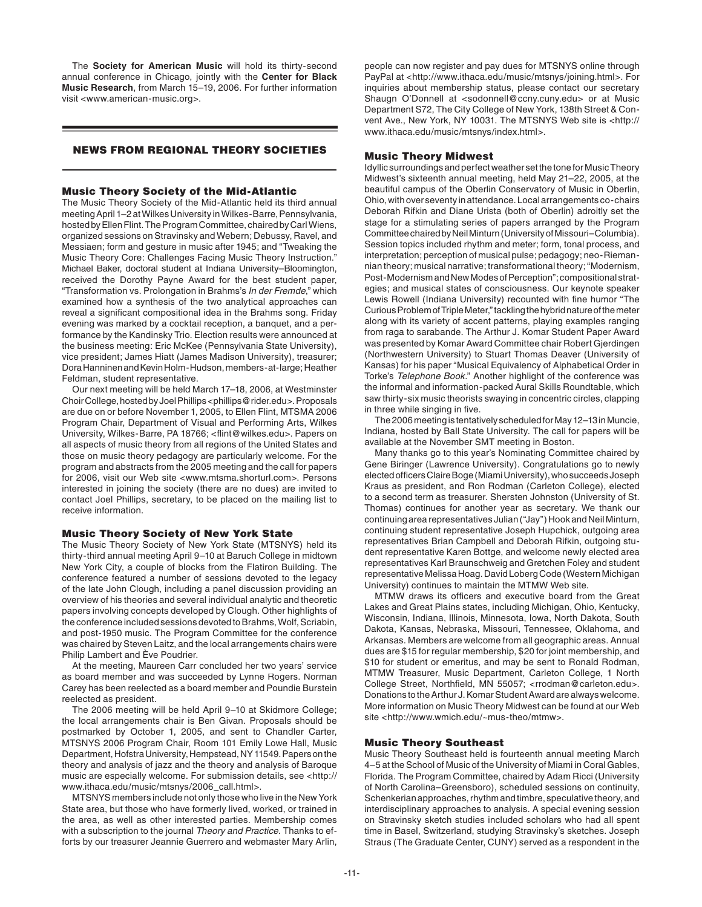The **Society for American Music** will hold its thirty-second annual conference in Chicago, jointly with the **Center for Black Music Research**, from March 15–19, 2006. For further information visit <www.american-music.org>.

# NEWS FROM REGIONAL THEORY SOCIETIES

## Music Theory Society of the Mid-Atlantic

The Music Theory Society of the Mid-Atlantic held its third annual meeting April 1–2 at Wilkes University in Wilkes-Barre, Pennsylvania, hosted by Ellen Flint. The Program Committee, chaired by Carl Wiens, organized sessions on Stravinsky and Webern; Debussy, Ravel, and Messiaen; form and gesture in music after 1945; and "Tweaking the Music Theory Core: Challenges Facing Music Theory Instruction." Michael Baker, doctoral student at Indiana University–Bloomington, received the Dorothy Payne Award for the best student paper, "Transformation vs. Prolongation in Brahms's In der Fremde," which examined how a synthesis of the two analytical approaches can reveal a significant compositional idea in the Brahms song. Friday evening was marked by a cocktail reception, a banquet, and a performance by the Kandinsky Trio. Election results were announced at the business meeting: Eric McKee (Pennsylvania State University), vice president; James Hiatt (James Madison University), treasurer; Dora Hanninen and Kevin Holm-Hudson, members-at-large; Heather Feldman, student representative.

 Our next meeting will be held March 17–18, 2006, at Westminster Choir College, hosted by Joel Phillips <phillips@rider.edu>. Proposals are due on or before November 1, 2005, to Ellen Flint, MTSMA 2006 Program Chair, Department of Visual and Performing Arts, Wilkes University, Wilkes-Barre, PA 18766; <flint@wilkes.edu>. Papers on all aspects of music theory from all regions of the United States and those on music theory pedagogy are particularly welcome. For the program and abstracts from the 2005 meeting and the call for papers for 2006, visit our Web site <www.mtsma.shorturl.com>. Persons interested in joining the society (there are no dues) are invited to contact Joel Phillips, secretary, to be placed on the mailing list to receive information.

#### Music Theory Society of New York State

The Music Theory Society of New York State (MTSNYS) held its thirty-third annual meeting April 9–10 at Baruch College in midtown New York City, a couple of blocks from the Flatiron Building. The conference featured a number of sessions devoted to the legacy of the late John Clough, including a panel discussion providing an overview of his theories and several individual analytic and theoretic papers involving concepts developed by Clough. Other highlights of the conference included sessions devoted to Brahms, Wolf, Scriabin, and post-1950 music. The Program Committee for the conference was chaired by Steven Laitz, and the local arrangements chairs were Philip Lambert and Ève Poudrier.

 At the meeting, Maureen Carr concluded her two years' service as board member and was succeeded by Lynne Rogers. Norman Carey has been reelected as a board member and Poundie Burstein reelected as president.

 The 2006 meeting will be held April 9–10 at Skidmore College; the local arrangements chair is Ben Givan. Proposals should be postmarked by October 1, 2005, and sent to Chandler Carter, MTSNYS 2006 Program Chair, Room 101 Emily Lowe Hall, Music Department, Hofstra University, Hempstead, NY 11549. Papers on the theory and analysis of jazz and the theory and analysis of Baroque music are especially welcome. For submission details, see <http:// www.ithaca.edu/music/mtsnys/2006\_call.html>.

 MTSNYS members include not only those who live in the New York State area, but those who have formerly lived, worked, or trained in the area, as well as other interested parties. Membership comes with a subscription to the journal Theory and Practice. Thanks to efforts by our treasurer Jeannie Guerrero and webmaster Mary Arlin,

people can now register and pay dues for MTSNYS online through PayPal at <http://www.ithaca.edu/music/mtsnys/joining.html>. For inquiries about membership status, please contact our secretary Shaugn O'Donnell at <sodonnell@ccny.cuny.edu> or at Music Department S72, The City College of New York, 138th Street & Convent Ave., New York, NY 10031. The MTSNYS Web site is <http:// www.ithaca.edu/music/mtsnys/index.html>.

# Music Theory Midwest

Idyllic surroundings and perfect weather set the tone for Music Theory Midwest's sixteenth annual meeting, held May 21–22, 2005, at the beautiful campus of the Oberlin Conservatory of Music in Oberlin, Ohio, with over seventy in attendance. Local arrangements co-chairs Deborah Rifkin and Diane Urista (both of Oberlin) adroitly set the stage for a stimulating series of papers arranged by the Program Committee chaired by Neil Minturn (University of Missouri–Columbia). Session topics included rhythm and meter; form, tonal process, and interpretation; perception of musical pulse; pedagogy; neo-Riemannian theory; musical narrative; transformational theory; "Modernism, Post-Modernism and New Modes of Perception"; compositional strategies; and musical states of consciousness. Our keynote speaker Lewis Rowell (Indiana University) recounted with fine humor "The Curious Problem of Triple Meter," tackling the hybrid nature of the meter along with its variety of accent patterns, playing examples ranging from raga to sarabande. The Arthur J. Komar Student Paper Award was presented by Komar Award Committee chair Robert Gjerdingen (Northwestern University) to Stuart Thomas Deaver (University of Kansas) for his paper "Musical Equivalency of Alphabetical Order in Torke's Telephone Book." Another highlight of the conference was the informal and information-packed Aural Skills Roundtable, which saw thirty-six music theorists swaying in concentric circles, clapping in three while singing in five.

 The 2006 meeting is tentatively scheduled for May 12–13 in Muncie, Indiana, hosted by Ball State University. The call for papers will be available at the November SMT meeting in Boston.

 Many thanks go to this year's Nominating Committee chaired by Gene Biringer (Lawrence University). Congratulations go to newly elected officers Claire Boge (Miami University), who succeeds Joseph Kraus as president, and Ron Rodman (Carleton College), elected to a second term as treasurer. Shersten Johnston (University of St. Thomas) continues for another year as secretary. We thank our continuing area representatives Julian ("Jay") Hook and Neil Minturn, continuing student representative Joseph Hupchick, outgoing area representatives Brian Campbell and Deborah Rifkin, outgoing student representative Karen Bottge, and welcome newly elected area representatives Karl Braunschweig and Gretchen Foley and student representative Melissa Hoag. David Loberg Code (Western Michigan University) continues to maintain the MTMW Web site.

MTMW draws its officers and executive board from the Great Lakes and Great Plains states, including Michigan, Ohio, Kentucky, Wisconsin, Indiana, Illinois, Minnesota, Iowa, North Dakota, South Dakota, Kansas, Nebraska, Missouri, Tennessee, Oklahoma, and Arkansas. Members are welcome from all geographic areas. Annual dues are \$15 for regular membership, \$20 for joint membership, and \$10 for student or emeritus, and may be sent to Ronald Rodman, MTMW Treasurer, Music Department, Carleton College, 1 North College Street, Northfield, MN 55057; <rrodman@carleton.edu>. Donations to the Arthur J. Komar Student Award are always welcome. More information on Music Theory Midwest can be found at our Web site <http://www.wmich.edu/~mus-theo/mtmw>.

#### Music Theory Southeast

Music Theory Southeast held is fourteenth annual meeting March 4–5 at the School of Music of the University of Miami in Coral Gables, Florida. The Program Committee, chaired by Adam Ricci (University of North Carolina–Greensboro), scheduled sessions on continuity, Schenkerian approaches, rhythm and timbre, speculative theory, and interdisciplinary approaches to analysis. A special evening session on Stravinsky sketch studies included scholars who had all spent time in Basel, Switzerland, studying Stravinsky's sketches. Joseph Straus (The Graduate Center, CUNY) served as a respondent in the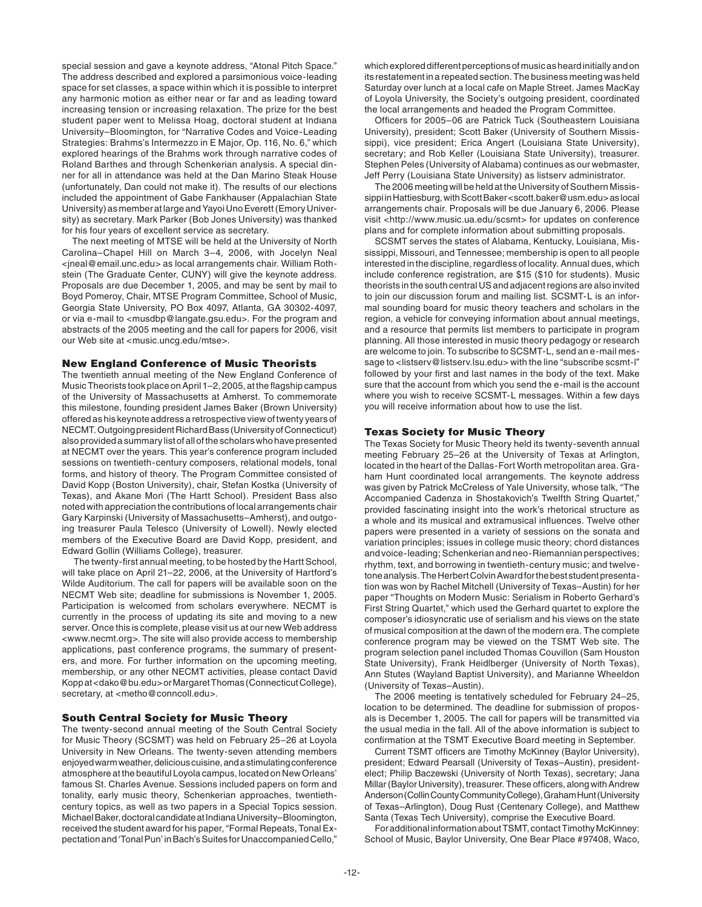special session and gave a keynote address, "Atonal Pitch Space." The address described and explored a parsimonious voice-leading space for set classes, a space within which it is possible to interpret any harmonic motion as either near or far and as leading toward increasing tension or increasing relaxation. The prize for the best student paper went to Melissa Hoag, doctoral student at Indiana University–Bloomington, for "Narrative Codes and Voice-Leading Strategies: Brahms's Intermezzo in E Major, Op. 116, No. 6," which explored hearings of the Brahms work through narrative codes of Roland Barthes and through Schenkerian analysis. A special dinner for all in attendance was held at the Dan Marino Steak House (unfortunately, Dan could not make it). The results of our elections included the appointment of Gabe Fankhauser (Appalachian State University) as member at large and Yayoi Uno Everett (Emory University) as secretary. Mark Parker (Bob Jones University) was thanked for his four years of excellent service as secretary.

 The next meeting of MTSE will be held at the University of North Carolina–Chapel Hill on March 3–4, 2006, with Jocelyn Neal <jneal@email.unc.edu> as local arrangements chair. William Rothstein (The Graduate Center, CUNY) will give the keynote address. Proposals are due December 1, 2005, and may be sent by mail to Boyd Pomeroy, Chair, MTSE Program Committee, School of Music, Georgia State University, PO Box 4097, Atlanta, GA 30302-4097, or via e-mail to <musdbp@langate.gsu.edu>. For the program and abstracts of the 2005 meeting and the call for papers for 2006, visit our Web site at <music.uncg.edu/mtse>.

## New England Conference of Music Theorists

The twentieth annual meeting of the New England Conference of Music Theorists took place on April 1–2, 2005, at the flagship campus of the University of Massachusetts at Amherst. To commemorate this milestone, founding president James Baker (Brown University) offered as his keynote address a retrospective view of twenty years of NECMT. Outgoing president Richard Bass (University of Connecticut) also provided a summary list of all of the scholars who have presented at NECMT over the years. This year's conference program included sessions on twentieth-century composers, relational models, tonal forms, and history of theory. The Program Committee consisted of David Kopp (Boston University), chair, Stefan Kostka (University of Texas), and Akane Mori (The Hartt School). President Bass also noted with appreciation the contributions of local arrangements chair Gary Karpinski (University of Massachusetts–Amherst), and outgoing treasurer Paula Telesco (University of Lowell). Newly elected members of the Executive Board are David Kopp, president, and Edward Gollin (Williams College), treasurer.

The twenty-first annual meeting, to be hosted by the Hartt School, will take place on April 21–22, 2006, at the University of Hartford's Wilde Auditorium. The call for papers will be available soon on the NECMT Web site; deadline for submissions is November 1, 2005. Participation is welcomed from scholars everywhere. NECMT is currently in the process of updating its site and moving to a new server. Once this is complete, please visit us at our new Web address <www.necmt.org>. The site will also provide access to membership applications, past conference programs, the summary of presenters, and more. For further information on the upcoming meeting, membership, or any other NECMT activities, please contact David Kopp at <dako@bu.edu> or Margaret Thomas (Connecticut College), secretary, at <metho@conncoll.edu>.

# South Central Society for Music Theory

The twenty-second annual meeting of the South Central Society for Music Theory (SCSMT) was held on February 25–26 at Loyola University in New Orleans. The twenty-seven attending members enjoyed warm weather, delicious cuisine, and a stimulating conference atmosphere at the beautiful Loyola campus, located on New Orleans' famous St. Charles Avenue. Sessions included papers on form and tonality, early music theory, Schenkerian approaches, twentiethcentury topics, as well as two papers in a Special Topics session. Michael Baker, doctoral candidate at Indiana University–Bloomington, received the student award for his paper, "Formal Repeats, Tonal Expectation and 'Tonal Pun' in Bach's Suites for Unaccompanied Cello,"

which explored different perceptions of music as heard initially and on its restatement in a repeated section. The business meeting was held Saturday over lunch at a local cafe on Maple Street. James MacKay of Loyola University, the Society's outgoing president, coordinated the local arrangements and headed the Program Committee.

Officers for 2005-06 are Patrick Tuck (Southeastern Louisiana University), president; Scott Baker (University of Southern Mississippi), vice president; Erica Angert (Louisiana State University), secretary; and Rob Keller (Louisiana State University), treasurer. Stephen Peles (University of Alabama) continues as our webmaster, Jeff Perry (Louisiana State University) as listserv administrator.

 The 2006 meeting will be held at the University of Southern Mississippi in Hattiesburg, with Scott Baker <scott.baker@usm.edu> as local arrangements chair. Proposals will be due January 6, 2006. Please visit <http://www.music.ua.edu/scsmt> for updates on conference plans and for complete information about submitting proposals.

 SCSMT serves the states of Alabama, Kentucky, Louisiana, Mississippi, Missouri, and Tennessee; membership is open to all people interested in the discipline, regardless of locality. Annual dues, which include conference registration, are \$15 (\$10 for students). Music theorists in the south central US and adjacent regions are also invited to join our discussion forum and mailing list. SCSMT-L is an informal sounding board for music theory teachers and scholars in the region, a vehicle for conveying information about annual meetings, and a resource that permits list members to participate in program planning. All those interested in music theory pedagogy or research are welcome to join. To subscribe to SCSMT-L, send an e-mail message to <listserv@listserv.lsu.edu> with the line "subscribe scsmt-l" followed by your first and last names in the body of the text. Make sure that the account from which you send the e-mail is the account where you wish to receive SCSMT-L messages. Within a few days you will receive information about how to use the list.

#### Texas Society for Music Theory

The Texas Society for Music Theory held its twenty-seventh annual meeting February 25–26 at the University of Texas at Arlington, located in the heart of the Dallas-Fort Worth metropolitan area. Graham Hunt coordinated local arrangements. The keynote address was given by Patrick McCreless of Yale University, whose talk, "The Accompanied Cadenza in Shostakovich's Twelfth String Quartet," provided fascinating insight into the work's rhetorical structure as a whole and its musical and extramusical influences. Twelve other papers were presented in a variety of sessions on the sonata and variation principles; issues in college music theory; chord distances and voice-leading; Schenkerian and neo-Riemannian perspectives; rhythm, text, and borrowing in twentieth-century music; and twelvetone analysis. The Herbert Colvin Award for the best student presentation was won by Rachel Mitchell (University of Texas–Austin) for her paper "Thoughts on Modern Music: Serialism in Roberto Gerhard's First String Quartet," which used the Gerhard quartet to explore the composer's idiosyncratic use of serialism and his views on the state of musical composition at the dawn of the modern era. The complete conference program may be viewed on the TSMT Web site. The program selection panel included Thomas Couvillon (Sam Houston State University), Frank Heidlberger (University of North Texas), Ann Stutes (Wayland Baptist University), and Marianne Wheeldon (University of Texas–Austin).

 The 2006 meeting is tentatively scheduled for February 24–25, location to be determined. The deadline for submission of proposals is December 1, 2005. The call for papers will be transmitted via the usual media in the fall. All of the above information is subject to confirmation at the TSMT Executive Board meeting in September.

Current TSMT officers are Timothy McKinney (Baylor University), president; Edward Pearsall (University of Texas–Austin), presidentelect; Philip Baczewski (University of North Texas), secretary; Jana Millar (Baylor University), treasurer. These officers, along with Andrew Anderson (Collin County Community College), Graham Hunt (University of Texas–Arlington), Doug Rust (Centenary College), and Matthew Santa (Texas Tech University), comprise the Executive Board.

 For additional information about TSMT, contact Timothy McKinney: School of Music, Baylor University, One Bear Place #97408, Waco,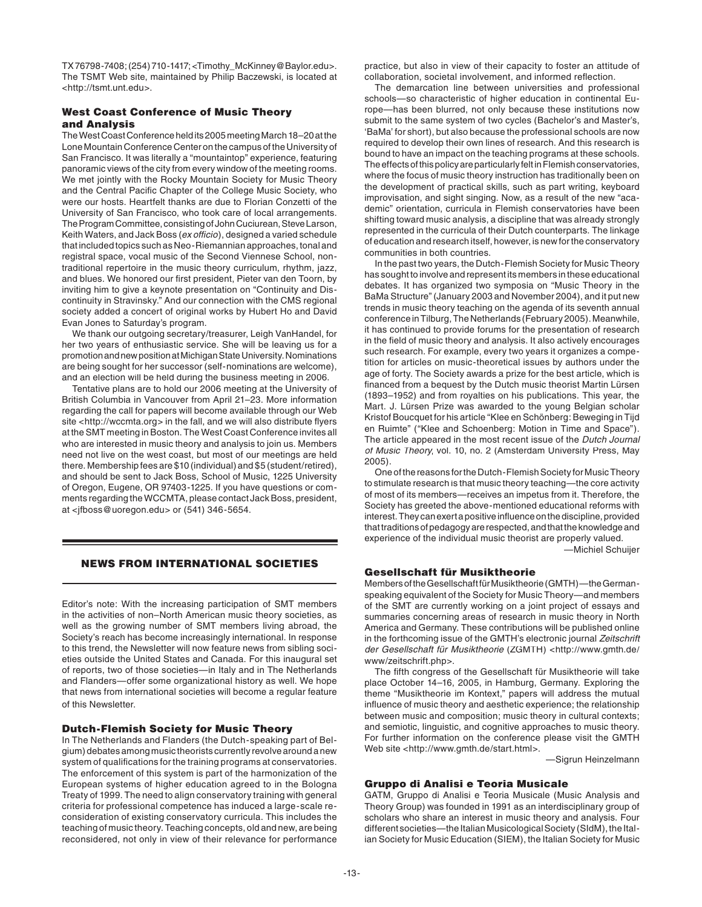TX 76798-7408; (254) 710-1417; <Timothy\_McKinney@Baylor.edu>. The TSMT Web site, maintained by Philip Baczewski, is located at <http://tsmt.unt.edu>.

# West Coast Conference of Music Theory and Analysis

The West Coast Conference held its 2005 meeting March 18–20 at the Lone Mountain Conference Center on the campus of the University of San Francisco. It was literally a "mountaintop" experience, featuring panoramic views of the city from every window of the meeting rooms. We met jointly with the Rocky Mountain Society for Music Theory and the Central Pacific Chapter of the College Music Society, who were our hosts. Heartfelt thanks are due to Florian Conzetti of the University of San Francisco, who took care of local arrangements. The Program Committee, consisting of John Cuciurean, Steve Larson, Keith Waters, and Jack Boss (ex officio), designed a varied schedule that included topics such as Neo-Riemannian approaches, tonal and registral space, vocal music of the Second Viennese School, nontraditional repertoire in the music theory curriculum, rhythm, jazz, and blues. We honored our first president, Pieter van den Toorn, by inviting him to give a keynote presentation on "Continuity and Discontinuity in Stravinsky." And our connection with the CMS regional society added a concert of original works by Hubert Ho and David Evan Jones to Saturday's program.

 We thank our outgoing secretary/treasurer, Leigh VanHandel, for her two years of enthusiastic service. She will be leaving us for a promotion and new position at Michigan State University. Nominations are being sought for her successor (self-nominations are welcome), and an election will be held during the business meeting in 2006.

 Tentative plans are to hold our 2006 meeting at the University of British Columbia in Vancouver from April 21–23. More information regarding the call for papers will become available through our Web site <http://wccmta.org> in the fall, and we will also distribute flyers at the SMT meeting in Boston. The West Coast Conference invites all who are interested in music theory and analysis to join us. Members need not live on the west coast, but most of our meetings are held there. Membership fees are \$10 (individual) and \$5 (student/retired), and should be sent to Jack Boss, School of Music, 1225 University of Oregon, Eugene, OR 97403-1225. If you have questions or comments regarding the WCCMTA, please contact Jack Boss, president, at <jfboss@uoregon.edu> or (541) 346-5654.

# NEWS FROM INTERNATIONAL SOCIETIES

Editor's note: With the increasing participation of SMT members in the activities of non–North American music theory societies, as well as the growing number of SMT members living abroad, the Society's reach has become increasingly international. In response to this trend, the Newsletter will now feature news from sibling societies outside the United States and Canada. For this inaugural set of reports, two of those societies—in Italy and in The Netherlands and Flanders—offer some organizational history as well. We hope that news from international societies will become a regular feature of this Newsletter.

# Dutch-Flemish Society for Music Theory

In The Netherlands and Flanders (the Dutch-speaking part of Belgium) debates among music theorists currently revolve around a new system of qualifications for the training programs at conservatories. The enforcement of this system is part of the harmonization of the European systems of higher education agreed to in the Bologna Treaty of 1999. The need to align conservatory training with general criteria for professional competence has induced a large-scale reconsideration of existing conservatory curricula. This includes the teaching of music theory. Teaching concepts, old and new, are being reconsidered, not only in view of their relevance for performance

practice, but also in view of their capacity to foster an attitude of collaboration, societal involvement, and informed reflection.

 The demarcation line between universities and professional schools—so characteristic of higher education in continental Europe—has been blurred, not only because these institutions now submit to the same system of two cycles (Bachelor's and Master's, 'BaMa' for short), but also because the professional schools are now required to develop their own lines of research. And this research is bound to have an impact on the teaching programs at these schools. The effects of this policy are particularly felt in Flemish conservatories, where the focus of music theory instruction has traditionally been on the development of practical skills, such as part writing, keyboard improvisation, and sight singing. Now, as a result of the new "academic" orientation, curricula in Flemish conservatories have been shifting toward music analysis, a discipline that was already strongly represented in the curricula of their Dutch counterparts. The linkage of education and research itself, however, is new for the conservatory communities in both countries.

 In the past two years, the Dutch-Flemish Society for Music Theory has sought to involve and represent its members in these educational debates. It has organized two symposia on "Music Theory in the BaMa Structure" (January 2003 and November 2004), and it put new trends in music theory teaching on the agenda of its seventh annual conference in Tilburg, The Netherlands (February 2005). Meanwhile, it has continued to provide forums for the presentation of research in the field of music theory and analysis. It also actively encourages such research. For example, every two years it organizes a competition for articles on music-theoretical issues by authors under the age of forty. The Society awards a prize for the best article, which is financed from a bequest by the Dutch music theorist Martin Lürsen (1893–1952) and from royalties on his publications. This year, the Mart. J. Lürsen Prize was awarded to the young Belgian scholar Kristof Boucquet for his article "Klee en Schönberg: Beweging in Tijd en Ruimte" ("Klee and Schoenberg: Motion in Time and Space"). The article appeared in the most recent issue of the Dutch Journal of Music Theory, vol. 10, no. 2 (Amsterdam University Press, May 2005).

 One of the reasons for the Dutch-Flemish Society for Music Theory to stimulate research is that music theory teaching—the core activity of most of its members—receives an impetus from it. Therefore, the Society has greeted the above-mentioned educational reforms with interest. They can exert a positive influence on the discipline, provided that traditions of pedagogy are respected, and that the knowledge and experience of the individual music theorist are properly valued.

—Michiel Schuijer

# Gesellschaft für Musiktheorie

Members of the Gesellschaft für Musiktheorie (GMTH)—the Germanspeaking equivalent of the Society for Music Theory—and members of the SMT are currently working on a joint project of essays and summaries concerning areas of research in music theory in North America and Germany. These contributions will be published online in the forthcoming issue of the GMTH's electronic journal Zeitschrift der Gesellschaft für Musiktheorie (ZGMTH) <http://www.gmth.de/ www/zeitschrift.php>.

The fifth congress of the Gesellschaft für Musiktheorie will take place October 14–16, 2005, in Hamburg, Germany. Exploring the theme "Musiktheorie im Kontext," papers will address the mutual influence of music theory and aesthetic experience; the relationship between music and composition; music theory in cultural contexts; and semiotic, linguistic, and cognitive approaches to music theory. For further information on the conference please visit the GMTH Web site <http://www.gmth.de/start.html>.

—Sigrun Heinzelmann

#### Gruppo di Analisi e Teoria Musicale

GATM, Gruppo di Analisi e Teoria Musicale (Music Analysis and Theory Group) was founded in 1991 as an interdisciplinary group of scholars who share an interest in music theory and analysis. Four different societies—the Italian Musicological Society (SIdM), the Italian Society for Music Education (SIEM), the Italian Society for Music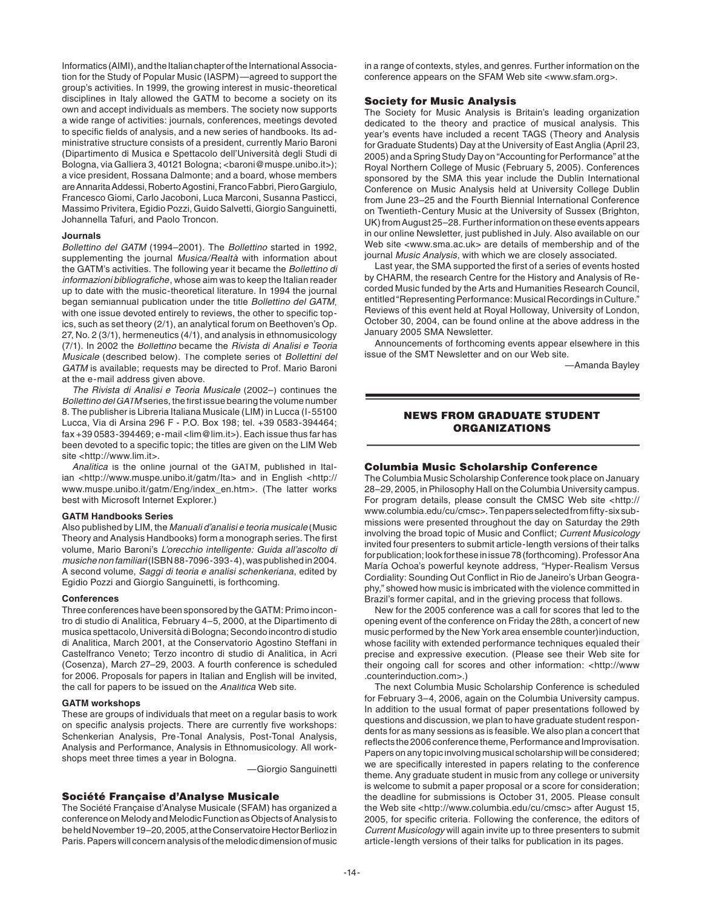Informatics (AIMI), and the Italian chapter of the International Association for the Study of Popular Music (IASPM)—agreed to support the group's activities. In 1999, the growing interest in music-theoretical disciplines in Italy allowed the GATM to become a society on its own and accept individuals as members. The society now supports a wide range of activities: journals, conferences, meetings devoted to specific fields of analysis, and a new series of handbooks. Its administrative structure consists of a president, currently Mario Baroni (Dipartimento di Musica e Spettacolo dell'Università degli Studi di Bologna, via Galliera 3, 40121 Bologna; <br/> <br/>baroni@muspe.unibo.it>); a vice president, Rossana Dalmonte; and a board, whose members are Annarita Addessi, Roberto Agostini, Franco Fabbri, Piero Gargiulo, Francesco Giomi, Carlo Jacoboni, Luca Marconi, Susanna Pasticci, Massimo Privitera, Egidio Pozzi, Guido Salvetti, Giorgio Sanguinetti, Johannella Tafuri, and Paolo Troncon.

#### **Journals**

Bollettino del GATM (1994-2001). The Bollettind started in 1992, supplementing the journal Musica/Realtà with information about the GATM's activities. The following year it became the Bollettino di informazioni bibliografiche, whose aim was to keep the Italian reader up to date with the music-theoretical literature. In 1994 the journal began semiannual publication under the title Bollettino del GATM, with one issue devoted entirely to reviews, the other to specific topics, such as set theory (2/1), an analytical forum on Beethoven's Op. 27, No. 2 (3/1), hermeneutics (4/1), and analysis in ethnomusicology (7/1). In 2002 the Bollettino became the Rivista di Analisi e Teoria Musicale (described below). The complete series of Bollettini del GATM is available; requests may be directed to Prof. Mario Baroni at the e-mail address given above.

 The Rivista di Analisi e Teoria Musicale (2002–) continues the Bollettino del GATM series, the first issue bearing the volume number 8. The publisher is Libreria Italiana Musicale (LIM) in Lucca (I-55100 Lucca, Via di Arsina 296 F - P.O. Box 198; tel. +39 0583-394464; fax +39 0583-394469; e-mail <lim@lim.it>). Each issue thus far has been devoted to a specific topic; the titles are given on the LIM Web site <http://www.lim.it>.

Analitica is the online journal of the GATM, published in Italian <http://www.muspe.unibo.it/gatm/Ita> and in English <http:// www.muspe.unibo.it/gatm/Eng/index\_en.htm>. (The latter works best with Microsoft Internet Explorer.)

#### **GATM Handbooks Series**

Also published by LIM, the Manuali d'analisi e teoria musicale (Music Theory and Analysis Handbooks) form a monograph series. The first volume, Mario Baroni's L'orecchio intelligente: Guida all'ascolto di musiche non familiari (ISBN 88-7096-393-4), was published in 2004. A second volume, Saggi di teoria e analisi schenkeriana, edited by Egidio Pozzi and Giorgio Sanguinetti, is forthcoming.

#### **Conferences**

Three conferences have been sponsored by the GATM: Primo incontro di studio di Analitica, February 4–5, 2000, at the Dipartimento di musica spettacolo, Università di Bologna; Secondo incontro di studio di Analitica, March 2001, at the Conservatorio Agostino Steffani in Castelfranco Veneto; Terzo incontro di studio di Analitica, in Acri (Cosenza), March 27–29, 2003. A fourth conference is scheduled for 2006. Proposals for papers in Italian and English will be invited, the call for papers to be issued on the Analitica Web site.

#### **GATM workshops**

These are groups of individuals that meet on a regular basis to work on specific analysis projects. There are currently five workshops: Schenkerian Analysis, Pre-Tonal Analysis, Post-Tonal Analysis, Analysis and Performance, Analysis in Ethnomusicology. All workshops meet three times a year in Bologna.

—Giorgio Sanguinetti

#### Société Française d'Analyse Musicale

The Société Française d'Analyse Musicale (SFAM) has organized a conference on Melody and Melodic Function as Objects of Analysis to be held November 19–20, 2005, at the Conservatoire Hector Berlioz in Paris. Papers will concern analysis of the melodic dimension of music

in a range of contexts, styles, and genres. Further information on the conference appears on the SFAM Web site <www.sfam.org>.

#### Society for Music Analysis

The Society for Music Analysis is Britain's leading organization dedicated to the theory and practice of musical analysis. This year's events have included a recent TAGS (Theory and Analysis for Graduate Students) Day at the University of East Anglia (April 23, 2005) and a Spring Study Day on "Accounting for Performance" at the Royal Northern College of Music (February 5, 2005). Conferences sponsored by the SMA this year include the Dublin International Conference on Music Analysis held at University College Dublin from June 23–25 and the Fourth Biennial International Conference on Twentieth-Century Music at the University of Sussex (Brighton, UK) from August 25–28. Further information on these events appears in our online Newsletter, just published in July. Also available on our Web site <www.sma.ac.uk> are details of membership and of the journal Music Analysis, with which we are closely associated.

Last year, the SMA supported the first of a series of events hosted by CHARM, the research Centre for the History and Analysis of Recorded Music funded by the Arts and Humanities Research Council, entitled "Representing Performance: Musical Recordings in Culture." Reviews of this event held at Royal Holloway, University of London, October 30, 2004, can be found online at the above address in the January 2005 SMA Newsletter.

 Announcements of forthcoming events appear elsewhere in this issue of the SMT Newsletter and on our Web site.

—Amanda Bayley

# NEWS FROM GRADUATE STUDENT ORGANIZATIONS

#### Columbia Music Scholarship Conference

The Columbia Music Scholarship Conference took place on January 28–29, 2005, in Philosophy Hall on the Columbia University campus. For program details, please consult the CMSC Web site <http:// www.columbia.edu/cu/cmsc>. Ten papers selected from fifty-six submissions were presented throughout the day on Saturday the 29th involving the broad topic of Music and Conflict; Current Musicology invited four presenters to submit article-length versions of their talks for publication; look for these in issue 78 (forthcoming). Professor Ana María Ochoa's powerful keynote address, "Hyper-Realism Versus Cordiality: Sounding Out Conflict in Rio de Janeiro's Urban Geography," showed how music is imbricated with the violence committed in Brazil's former capital, and in the grieving process that follows.

 New for the 2005 conference was a call for scores that led to the opening event of the conference on Friday the 28th, a concert of new music performed by the New York area ensemble counter)induction, whose facility with extended performance techniques equaled their precise and expressive execution. (Please see their Web site for their ongoing call for scores and other information: <http://www .counterinduction.com>.)

 The next Columbia Music Scholarship Conference is scheduled for February 3–4, 2006, again on the Columbia University campus. In addition to the usual format of paper presentations followed by questions and discussion, we plan to have graduate student respondents for as many sessions as is feasible. We also plan a concert that reflects the 2006 conference theme, Performance and Improvisation. Papers on any topic involving musical scholarship will be considered; we are specifically interested in papers relating to the conference theme. Any graduate student in music from any college or university is welcome to submit a paper proposal or a score for consideration; the deadline for submissions is October 31, 2005. Please consult the Web site <http://www.columbia.edu/cu/cmsc> after August 15, 2005, for specific criteria. Following the conference, the editors of Current Musicology will again invite up to three presenters to submit article-length versions of their talks for publication in its pages.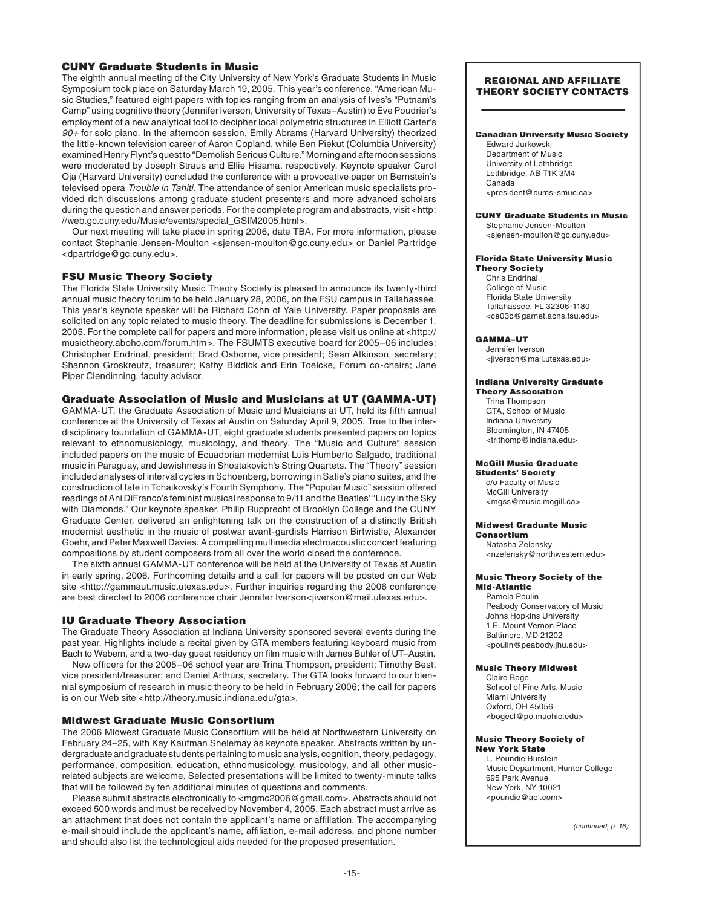# CUNY Graduate Students in Music

The eighth annual meeting of the City University of New York's Graduate Students in Music Symposium took place on Saturday March 19, 2005. This year's conference, "American Music Studies," featured eight papers with topics ranging from an analysis of Ives's "Putnam's Camp" using cognitive theory (Jennifer Iverson, University of Texas–Austin) to Ève Poudrier's employment of a new analytical tool to decipher local polymetric structures in Elliott Carter's 90+ for solo piano. In the afternoon session, Emily Abrams (Harvard University) theorized the little-known television career of Aaron Copland, while Ben Piekut (Columbia University) examined Henry Flynt's quest to "Demolish Serious Culture." Morning and afternoon sessions were moderated by Joseph Straus and Ellie Hisama, respectively. Keynote speaker Carol Oja (Harvard University) concluded the conference with a provocative paper on Bernstein's televised opera Trouble in Tahiti. The attendance of senior American music specialists provided rich discussions among graduate student presenters and more advanced scholars during the question and answer periods. For the complete program and abstracts, visit <http: //web.gc.cuny.edu/Music/events/special\_GSIM2005.html>.

 Our next meeting will take place in spring 2006, date TBA. For more information, please contact Stephanie Jensen-Moulton <sjensen-moulton@gc.cuny.edu> or Daniel Partridge <dpartridge@gc.cuny.edu>.

# FSU Music Theory Society

The Florida State University Music Theory Society is pleased to announce its twenty-third annual music theory forum to be held January 28, 2006, on the FSU campus in Tallahassee. This year's keynote speaker will be Richard Cohn of Yale University. Paper proposals are solicited on any topic related to music theory. The deadline for submissions is December 1, 2005. For the complete call for papers and more information, please visit us online at <http:// musictheory.aboho.com/forum.htm>. The FSUMTS executive board for 2005–06 includes: Christopher Endrinal, president; Brad Osborne, vice president; Sean Atkinson, secretary; Shannon Groskreutz, treasurer; Kathy Biddick and Erin Toelcke, Forum co-chairs; Jane Piper Clendinning, faculty advisor.

# Graduate Association of Music and Musicians at UT (GAMMA-UT)

GAMMA-UT, the Graduate Association of Music and Musicians at UT, held its fifth annual conference at the University of Texas at Austin on Saturday April 9, 2005. True to the interdisciplinary foundation of GAMMA-UT, eight graduate students presented papers on topics relevant to ethnomusicology, musicology, and theory. The "Music and Culture" session included papers on the music of Ecuadorian modernist Luis Humberto Salgado, traditional music in Paraguay, and Jewishness in Shostakovich's String Quartets. The "Theory" session included analyses of interval cycles in Schoenberg, borrowing in Satie's piano suites, and the construction of fate in Tchaikovsky's Fourth Symphony. The "Popular Music" session offered readings of Ani DiFranco's feminist musical response to 9/11 and the Beatles' "Lucy in the Sky with Diamonds." Our keynote speaker, Philip Rupprecht of Brooklyn College and the CUNY Graduate Center, delivered an enlightening talk on the construction of a distinctly British modernist aesthetic in the music of postwar avant-gardists Harrison Birtwistle, Alexander Goehr, and Peter Maxwell Davies. A compelling multimedia electroacoustic concert featuring compositions by student composers from all over the world closed the conference.

 The sixth annual GAMMA-UT conference will be held at the University of Texas at Austin in early spring, 2006. Forthcoming details and a call for papers will be posted on our Web site <http://gammaut.music.utexas.edu>. Further inquiries regarding the 2006 conference are best directed to 2006 conference chair Jennifer Iverson<jiverson@mail.utexas.edu>.

# IU Graduate Theory Association

The Graduate Theory Association at Indiana University sponsored several events during the past year. Highlights include a recital given by GTA members featuring keyboard music from Bach to Webern, and a two-day guest residency on film music with James Buhler of UT–Austin.

New officers for the 2005–06 school year are Trina Thompson, president; Timothy Best, vice president/treasurer; and Daniel Arthurs, secretary. The GTA looks forward to our biennial symposium of research in music theory to be held in February 2006; the call for papers is on our Web site <http://theory.music.indiana.edu/gta>.

## Midwest Graduate Music Consortium

The 2006 Midwest Graduate Music Consortium will be held at Northwestern University on February 24–25, with Kay Kaufman Shelemay as keynote speaker. Abstracts written by undergraduate and graduate students pertaining to music analysis, cognition, theory, pedagogy, performance, composition, education, ethnomusicology, musicology, and all other musicrelated subjects are welcome. Selected presentations will be limited to twenty-minute talks that will be followed by ten additional minutes of questions and comments.

Please submit abstracts electronically to <mgmc2006@gmail.com>. Abstracts should not exceed 500 words and must be received by November 4, 2005. Each abstract must arrive as an attachment that does not contain the applicant's name or affiliation. The accompanying e-mail should include the applicant's name, affiliation, e-mail address, and phone number and should also list the technological aids needed for the proposed presentation.

#### REGIONAL AND AFFILIATE THEORY SOCIETY CONTACTS

#### Canadian University Music Society

Edward Jurkowski Department of Music University of Lethbridge Lethbridge, AB T1K 3M4 Canada <president@cums-smuc.ca>

#### CUNY Graduate Students in Music

Stephanie Jensen-Moulton <sjensen-moulton@gc.cuny.edu>

#### Florida State University Music Theory Society

Chris Endrinal College of Music Florida State University Tallahassee, FL 32306-1180 <ce03c@garnet.acns.fsu.edu>

#### GAMMA–UT

Jennifer Iverson <jiverson@mail.utexas.edu>

#### Indiana University Graduate Theory Association

Trina Thompson GTA, School of Music Indiana University Bloomington, IN 47405 <trithomp@indiana.edu>

#### McGill Music Graduate

Students' Society c/o Faculty of Music McGill University <mgss@music.mcgill.ca>

### Midwest Graduate Music

Consortium Natasha Zelensky <nzelensky@northwestern.edu>

#### Music Theory Society of the Mid-Atlantic

Pamela Poulin Peabody Conservatory of Music Johns Hopkins University 1 E. Mount Vernon Place Baltimore, MD 21202 <poulin@peabody.jhu.edu>

### Music Theory Midwest

Claire Boge School of Fine Arts, Music Miami University Oxford, OH 45056 <bogecl@po.muohio.edu>

#### Music Theory Society of New York State

L. Poundie Burstein Music Department, Hunter College 695 Park Avenue New York, NY 10021 <poundie@aol.com>

(continued, p. 16)